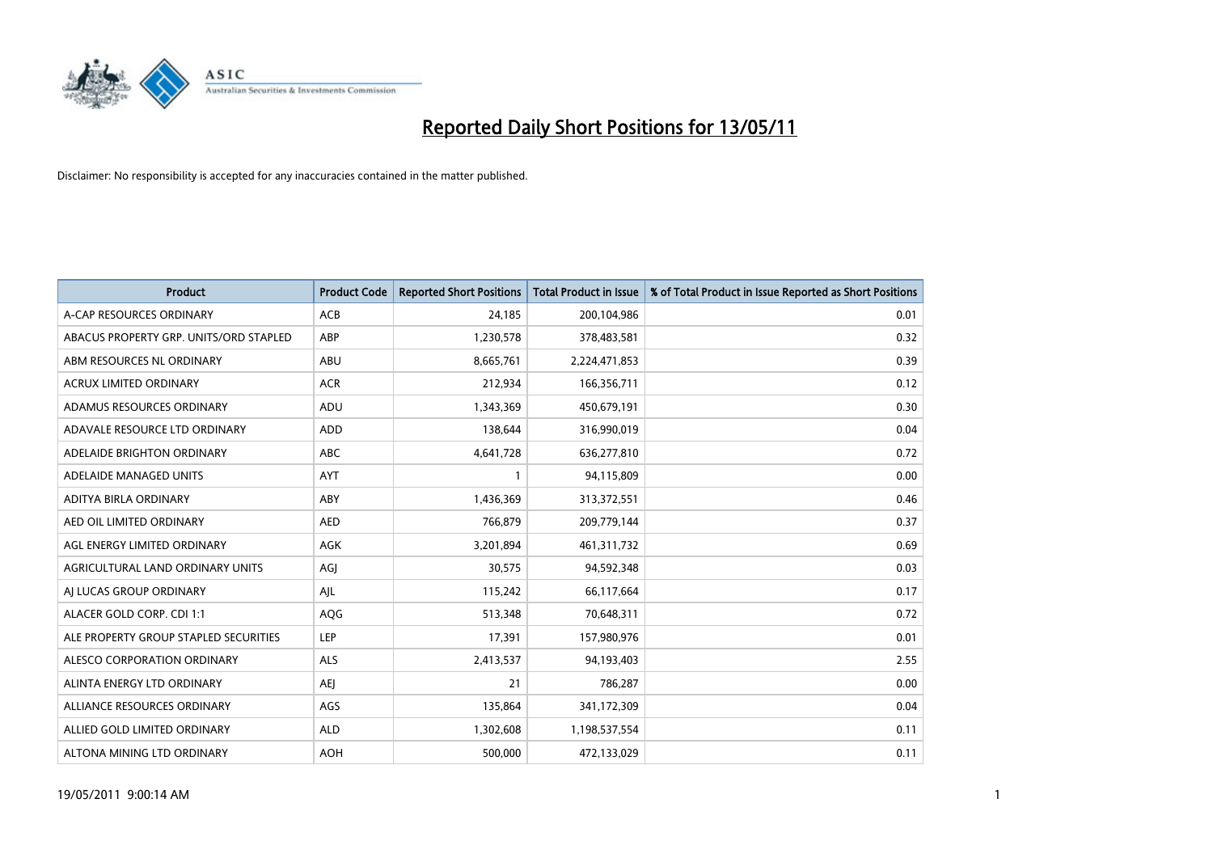

| <b>Product</b>                         | <b>Product Code</b> | <b>Reported Short Positions</b> | Total Product in Issue | % of Total Product in Issue Reported as Short Positions |
|----------------------------------------|---------------------|---------------------------------|------------------------|---------------------------------------------------------|
| A-CAP RESOURCES ORDINARY               | <b>ACB</b>          | 24,185                          | 200,104,986            | 0.01                                                    |
| ABACUS PROPERTY GRP. UNITS/ORD STAPLED | ABP                 | 1,230,578                       | 378,483,581            | 0.32                                                    |
| ABM RESOURCES NL ORDINARY              | ABU                 | 8,665,761                       | 2,224,471,853          | 0.39                                                    |
| ACRUX LIMITED ORDINARY                 | <b>ACR</b>          | 212,934                         | 166,356,711            | 0.12                                                    |
| ADAMUS RESOURCES ORDINARY              | ADU                 | 1,343,369                       | 450,679,191            | 0.30                                                    |
| ADAVALE RESOURCE LTD ORDINARY          | ADD                 | 138,644                         | 316,990,019            | 0.04                                                    |
| ADELAIDE BRIGHTON ORDINARY             | <b>ABC</b>          | 4,641,728                       | 636,277,810            | 0.72                                                    |
| ADELAIDE MANAGED UNITS                 | <b>AYT</b>          |                                 | 94,115,809             | 0.00                                                    |
| ADITYA BIRLA ORDINARY                  | ABY                 | 1,436,369                       | 313,372,551            | 0.46                                                    |
| AED OIL LIMITED ORDINARY               | <b>AED</b>          | 766,879                         | 209,779,144            | 0.37                                                    |
| AGL ENERGY LIMITED ORDINARY            | <b>AGK</b>          | 3,201,894                       | 461,311,732            | 0.69                                                    |
| AGRICULTURAL LAND ORDINARY UNITS       | AGJ                 | 30,575                          | 94,592,348             | 0.03                                                    |
| AI LUCAS GROUP ORDINARY                | AJL                 | 115,242                         | 66,117,664             | 0.17                                                    |
| ALACER GOLD CORP. CDI 1:1              | AQG                 | 513,348                         | 70,648,311             | 0.72                                                    |
| ALE PROPERTY GROUP STAPLED SECURITIES  | LEP                 | 17,391                          | 157,980,976            | 0.01                                                    |
| ALESCO CORPORATION ORDINARY            | ALS                 | 2,413,537                       | 94,193,403             | 2.55                                                    |
| ALINTA ENERGY LTD ORDINARY             | <b>AEI</b>          | 21                              | 786,287                | 0.00                                                    |
| ALLIANCE RESOURCES ORDINARY            | AGS                 | 135,864                         | 341,172,309            | 0.04                                                    |
| ALLIED GOLD LIMITED ORDINARY           | <b>ALD</b>          | 1,302,608                       | 1,198,537,554          | 0.11                                                    |
| ALTONA MINING LTD ORDINARY             | <b>AOH</b>          | 500.000                         | 472,133,029            | 0.11                                                    |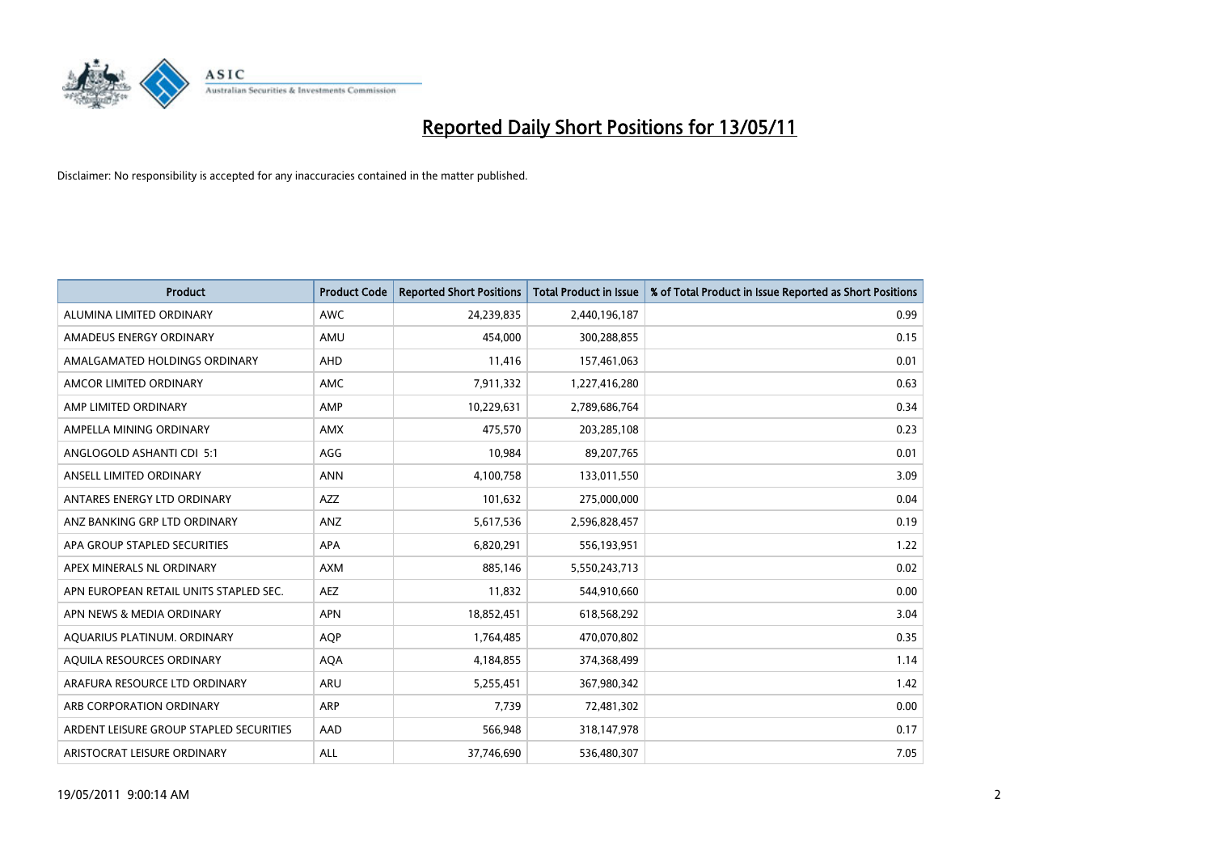

| <b>Product</b>                          | <b>Product Code</b> | <b>Reported Short Positions</b> | <b>Total Product in Issue</b> | % of Total Product in Issue Reported as Short Positions |
|-----------------------------------------|---------------------|---------------------------------|-------------------------------|---------------------------------------------------------|
| ALUMINA LIMITED ORDINARY                | <b>AWC</b>          | 24,239,835                      | 2,440,196,187                 | 0.99                                                    |
| AMADEUS ENERGY ORDINARY                 | AMU                 | 454,000                         | 300,288,855                   | 0.15                                                    |
| AMALGAMATED HOLDINGS ORDINARY           | AHD                 | 11,416                          | 157,461,063                   | 0.01                                                    |
| AMCOR LIMITED ORDINARY                  | <b>AMC</b>          | 7,911,332                       | 1,227,416,280                 | 0.63                                                    |
| AMP LIMITED ORDINARY                    | AMP                 | 10,229,631                      | 2,789,686,764                 | 0.34                                                    |
| AMPELLA MINING ORDINARY                 | <b>AMX</b>          | 475,570                         | 203,285,108                   | 0.23                                                    |
| ANGLOGOLD ASHANTI CDI 5:1               | AGG                 | 10,984                          | 89,207,765                    | 0.01                                                    |
| ANSELL LIMITED ORDINARY                 | <b>ANN</b>          | 4,100,758                       | 133,011,550                   | 3.09                                                    |
| ANTARES ENERGY LTD ORDINARY             | <b>AZZ</b>          | 101,632                         | 275,000,000                   | 0.04                                                    |
| ANZ BANKING GRP LTD ORDINARY            | ANZ                 | 5,617,536                       | 2,596,828,457                 | 0.19                                                    |
| APA GROUP STAPLED SECURITIES            | <b>APA</b>          | 6,820,291                       | 556,193,951                   | 1.22                                                    |
| APEX MINERALS NL ORDINARY               | <b>AXM</b>          | 885,146                         | 5,550,243,713                 | 0.02                                                    |
| APN EUROPEAN RETAIL UNITS STAPLED SEC.  | <b>AEZ</b>          | 11,832                          | 544,910,660                   | 0.00                                                    |
| APN NEWS & MEDIA ORDINARY               | <b>APN</b>          | 18,852,451                      | 618,568,292                   | 3.04                                                    |
| AQUARIUS PLATINUM. ORDINARY             | <b>AOP</b>          | 1,764,485                       | 470,070,802                   | 0.35                                                    |
| AQUILA RESOURCES ORDINARY               | <b>AQA</b>          | 4,184,855                       | 374,368,499                   | 1.14                                                    |
| ARAFURA RESOURCE LTD ORDINARY           | <b>ARU</b>          | 5,255,451                       | 367,980,342                   | 1.42                                                    |
| ARB CORPORATION ORDINARY                | ARP                 | 7,739                           | 72,481,302                    | 0.00                                                    |
| ARDENT LEISURE GROUP STAPLED SECURITIES | AAD                 | 566,948                         | 318,147,978                   | 0.17                                                    |
| ARISTOCRAT LEISURE ORDINARY             | ALL                 | 37,746,690                      | 536,480,307                   | 7.05                                                    |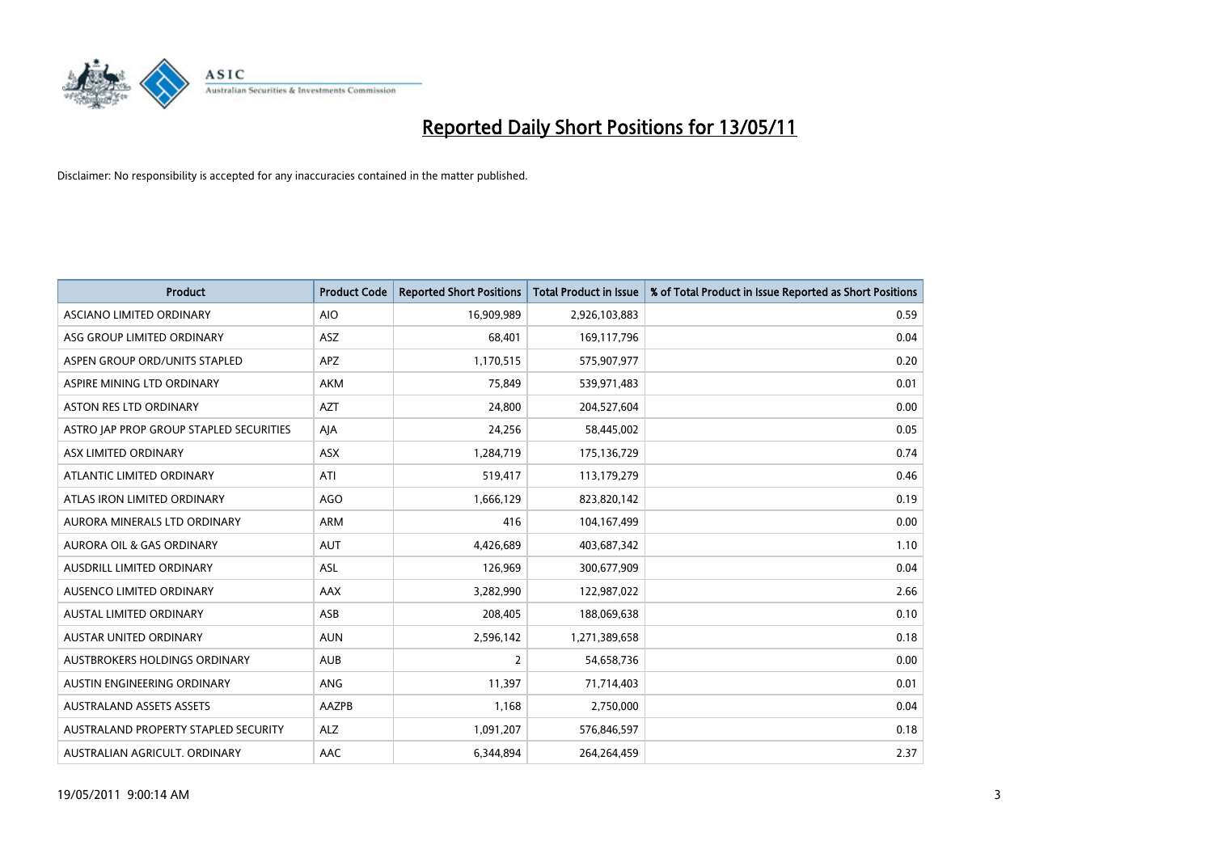

| <b>Product</b>                          | <b>Product Code</b> | <b>Reported Short Positions</b> | <b>Total Product in Issue</b> | % of Total Product in Issue Reported as Short Positions |
|-----------------------------------------|---------------------|---------------------------------|-------------------------------|---------------------------------------------------------|
| ASCIANO LIMITED ORDINARY                | <b>AIO</b>          | 16,909,989                      | 2,926,103,883                 | 0.59                                                    |
| ASG GROUP LIMITED ORDINARY              | <b>ASZ</b>          | 68,401                          | 169,117,796                   | 0.04                                                    |
| ASPEN GROUP ORD/UNITS STAPLED           | <b>APZ</b>          | 1,170,515                       | 575,907,977                   | 0.20                                                    |
| ASPIRE MINING LTD ORDINARY              | <b>AKM</b>          | 75,849                          | 539,971,483                   | 0.01                                                    |
| <b>ASTON RES LTD ORDINARY</b>           | <b>AZT</b>          | 24,800                          | 204,527,604                   | 0.00                                                    |
| ASTRO JAP PROP GROUP STAPLED SECURITIES | AJA                 | 24,256                          | 58,445,002                    | 0.05                                                    |
| ASX LIMITED ORDINARY                    | <b>ASX</b>          | 1,284,719                       | 175,136,729                   | 0.74                                                    |
| ATLANTIC LIMITED ORDINARY               | ATI                 | 519,417                         | 113,179,279                   | 0.46                                                    |
| ATLAS IRON LIMITED ORDINARY             | <b>AGO</b>          | 1,666,129                       | 823,820,142                   | 0.19                                                    |
| AURORA MINERALS LTD ORDINARY            | <b>ARM</b>          | 416                             | 104,167,499                   | 0.00                                                    |
| AURORA OIL & GAS ORDINARY               | <b>AUT</b>          | 4,426,689                       | 403,687,342                   | 1.10                                                    |
| AUSDRILL LIMITED ORDINARY               | <b>ASL</b>          | 126,969                         | 300,677,909                   | 0.04                                                    |
| AUSENCO LIMITED ORDINARY                | <b>AAX</b>          | 3,282,990                       | 122,987,022                   | 2.66                                                    |
| <b>AUSTAL LIMITED ORDINARY</b>          | ASB                 | 208,405                         | 188,069,638                   | 0.10                                                    |
| <b>AUSTAR UNITED ORDINARY</b>           | <b>AUN</b>          | 2,596,142                       | 1,271,389,658                 | 0.18                                                    |
| AUSTBROKERS HOLDINGS ORDINARY           | <b>AUB</b>          | 2                               | 54,658,736                    | 0.00                                                    |
| AUSTIN ENGINEERING ORDINARY             | ANG                 | 11,397                          | 71,714,403                    | 0.01                                                    |
| AUSTRALAND ASSETS ASSETS                | AAZPB               | 1,168                           | 2,750,000                     | 0.04                                                    |
| AUSTRALAND PROPERTY STAPLED SECURITY    | <b>ALZ</b>          | 1,091,207                       | 576,846,597                   | 0.18                                                    |
| AUSTRALIAN AGRICULT. ORDINARY           | AAC                 | 6,344,894                       | 264,264,459                   | 2.37                                                    |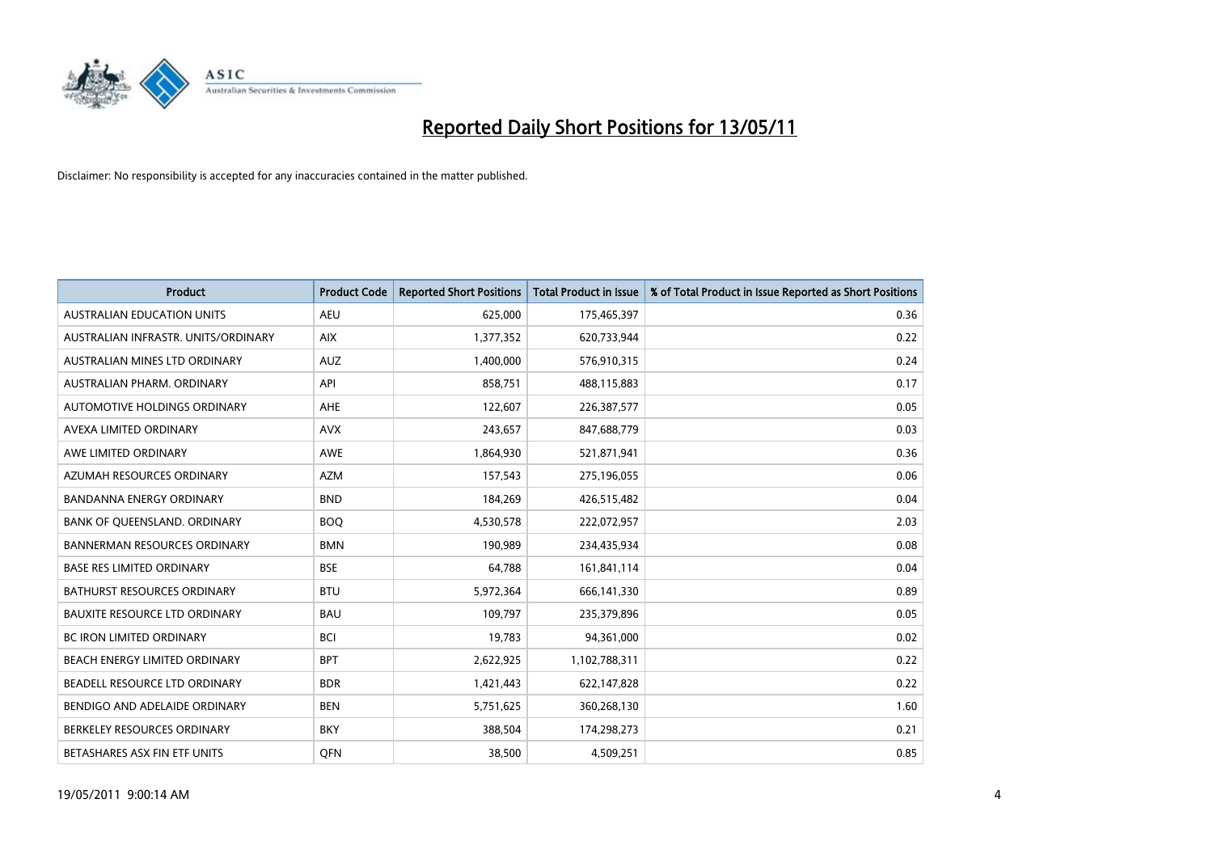

| <b>Product</b>                       | <b>Product Code</b> | <b>Reported Short Positions</b> | <b>Total Product in Issue</b> | % of Total Product in Issue Reported as Short Positions |
|--------------------------------------|---------------------|---------------------------------|-------------------------------|---------------------------------------------------------|
| <b>AUSTRALIAN EDUCATION UNITS</b>    | <b>AEU</b>          | 625,000                         | 175,465,397                   | 0.36                                                    |
| AUSTRALIAN INFRASTR. UNITS/ORDINARY  | <b>AIX</b>          | 1,377,352                       | 620,733,944                   | 0.22                                                    |
| AUSTRALIAN MINES LTD ORDINARY        | <b>AUZ</b>          | 1,400,000                       | 576,910,315                   | 0.24                                                    |
| AUSTRALIAN PHARM. ORDINARY           | API                 | 858,751                         | 488,115,883                   | 0.17                                                    |
| AUTOMOTIVE HOLDINGS ORDINARY         | <b>AHE</b>          | 122,607                         | 226,387,577                   | 0.05                                                    |
| AVEXA LIMITED ORDINARY               | <b>AVX</b>          | 243,657                         | 847,688,779                   | 0.03                                                    |
| AWE LIMITED ORDINARY                 | <b>AWE</b>          | 1,864,930                       | 521,871,941                   | 0.36                                                    |
| AZUMAH RESOURCES ORDINARY            | <b>AZM</b>          | 157,543                         | 275,196,055                   | 0.06                                                    |
| <b>BANDANNA ENERGY ORDINARY</b>      | <b>BND</b>          | 184,269                         | 426,515,482                   | 0.04                                                    |
| BANK OF QUEENSLAND. ORDINARY         | <b>BOO</b>          | 4,530,578                       | 222,072,957                   | 2.03                                                    |
| <b>BANNERMAN RESOURCES ORDINARY</b>  | <b>BMN</b>          | 190,989                         | 234,435,934                   | 0.08                                                    |
| <b>BASE RES LIMITED ORDINARY</b>     | <b>BSE</b>          | 64,788                          | 161,841,114                   | 0.04                                                    |
| BATHURST RESOURCES ORDINARY          | <b>BTU</b>          | 5,972,364                       | 666,141,330                   | 0.89                                                    |
| <b>BAUXITE RESOURCE LTD ORDINARY</b> | <b>BAU</b>          | 109,797                         | 235,379,896                   | 0.05                                                    |
| BC IRON LIMITED ORDINARY             | <b>BCI</b>          | 19,783                          | 94,361,000                    | 0.02                                                    |
| BEACH ENERGY LIMITED ORDINARY        | <b>BPT</b>          | 2,622,925                       | 1,102,788,311                 | 0.22                                                    |
| BEADELL RESOURCE LTD ORDINARY        | <b>BDR</b>          | 1,421,443                       | 622,147,828                   | 0.22                                                    |
| BENDIGO AND ADELAIDE ORDINARY        | <b>BEN</b>          | 5,751,625                       | 360,268,130                   | 1.60                                                    |
| BERKELEY RESOURCES ORDINARY          | <b>BKY</b>          | 388,504                         | 174,298,273                   | 0.21                                                    |
| BETASHARES ASX FIN ETF UNITS         | <b>OFN</b>          | 38,500                          | 4,509,251                     | 0.85                                                    |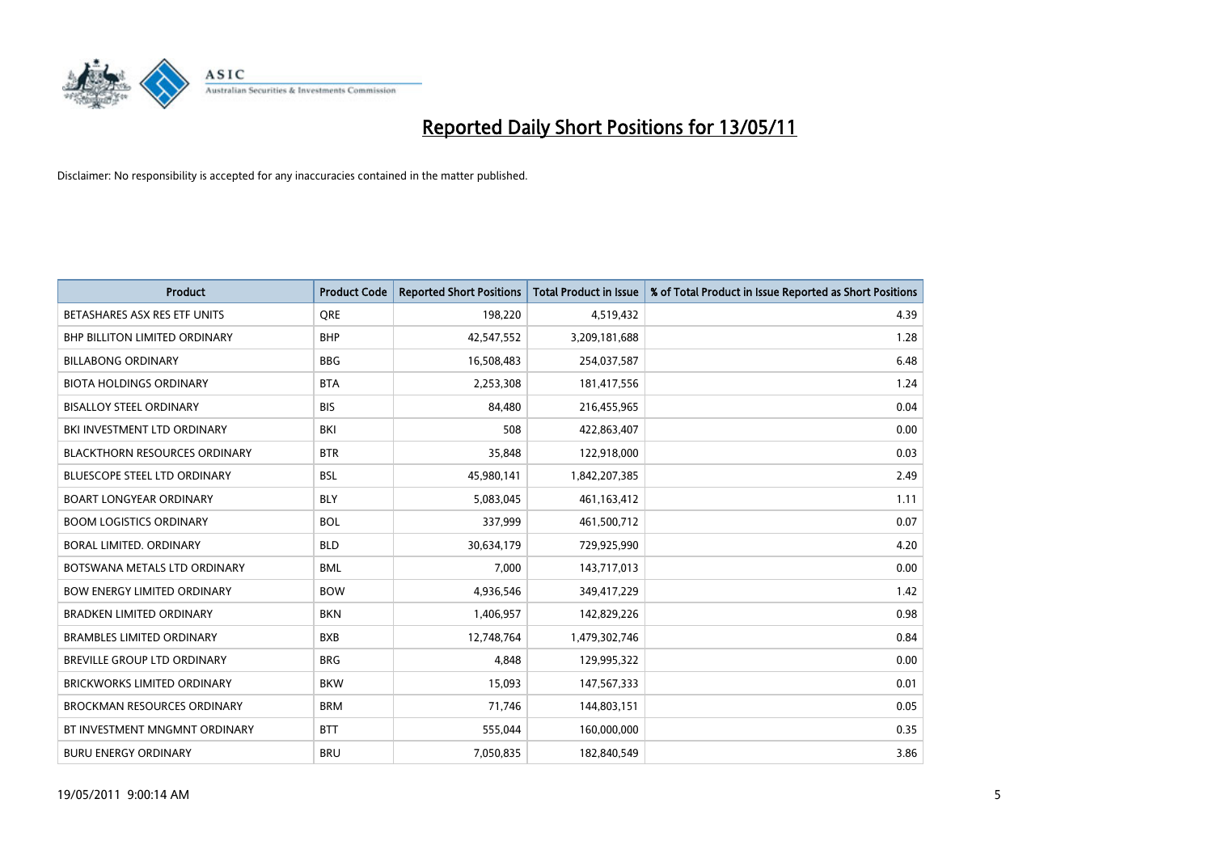

| <b>Product</b>                       | <b>Product Code</b> | <b>Reported Short Positions</b> | <b>Total Product in Issue</b> | % of Total Product in Issue Reported as Short Positions |
|--------------------------------------|---------------------|---------------------------------|-------------------------------|---------------------------------------------------------|
| BETASHARES ASX RES ETF UNITS         | <b>ORE</b>          | 198,220                         | 4,519,432                     | 4.39                                                    |
| <b>BHP BILLITON LIMITED ORDINARY</b> | <b>BHP</b>          | 42,547,552                      | 3,209,181,688                 | 1.28                                                    |
| <b>BILLABONG ORDINARY</b>            | <b>BBG</b>          | 16,508,483                      | 254,037,587                   | 6.48                                                    |
| <b>BIOTA HOLDINGS ORDINARY</b>       | <b>BTA</b>          | 2,253,308                       | 181,417,556                   | 1.24                                                    |
| <b>BISALLOY STEEL ORDINARY</b>       | <b>BIS</b>          | 84,480                          | 216,455,965                   | 0.04                                                    |
| BKI INVESTMENT LTD ORDINARY          | BKI                 | 508                             | 422,863,407                   | 0.00                                                    |
| <b>BLACKTHORN RESOURCES ORDINARY</b> | <b>BTR</b>          | 35,848                          | 122,918,000                   | 0.03                                                    |
| <b>BLUESCOPE STEEL LTD ORDINARY</b>  | <b>BSL</b>          | 45,980,141                      | 1,842,207,385                 | 2.49                                                    |
| <b>BOART LONGYEAR ORDINARY</b>       | <b>BLY</b>          | 5,083,045                       | 461,163,412                   | 1.11                                                    |
| <b>BOOM LOGISTICS ORDINARY</b>       | <b>BOL</b>          | 337,999                         | 461,500,712                   | 0.07                                                    |
| BORAL LIMITED. ORDINARY              | <b>BLD</b>          | 30,634,179                      | 729,925,990                   | 4.20                                                    |
| BOTSWANA METALS LTD ORDINARY         | <b>BML</b>          | 7,000                           | 143,717,013                   | 0.00                                                    |
| <b>BOW ENERGY LIMITED ORDINARY</b>   | <b>BOW</b>          | 4,936,546                       | 349,417,229                   | 1.42                                                    |
| <b>BRADKEN LIMITED ORDINARY</b>      | <b>BKN</b>          | 1,406,957                       | 142,829,226                   | 0.98                                                    |
| <b>BRAMBLES LIMITED ORDINARY</b>     | <b>BXB</b>          | 12,748,764                      | 1,479,302,746                 | 0.84                                                    |
| BREVILLE GROUP LTD ORDINARY          | <b>BRG</b>          | 4,848                           | 129,995,322                   | 0.00                                                    |
| BRICKWORKS LIMITED ORDINARY          | <b>BKW</b>          | 15,093                          | 147,567,333                   | 0.01                                                    |
| <b>BROCKMAN RESOURCES ORDINARY</b>   | <b>BRM</b>          | 71,746                          | 144,803,151                   | 0.05                                                    |
| BT INVESTMENT MNGMNT ORDINARY        | <b>BTT</b>          | 555,044                         | 160,000,000                   | 0.35                                                    |
| <b>BURU ENERGY ORDINARY</b>          | <b>BRU</b>          | 7,050,835                       | 182,840,549                   | 3.86                                                    |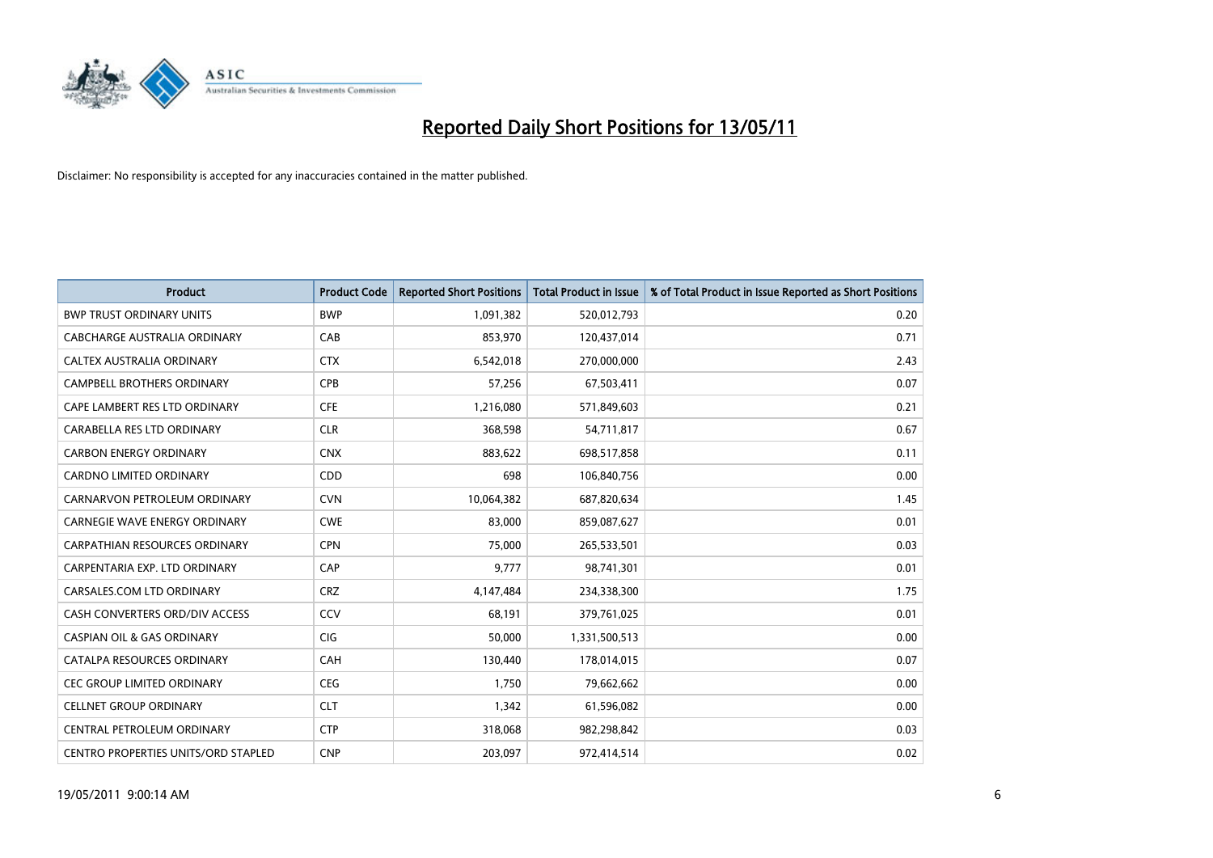

| <b>Product</b>                             | <b>Product Code</b> | <b>Reported Short Positions</b> | <b>Total Product in Issue</b> | % of Total Product in Issue Reported as Short Positions |
|--------------------------------------------|---------------------|---------------------------------|-------------------------------|---------------------------------------------------------|
| <b>BWP TRUST ORDINARY UNITS</b>            | <b>BWP</b>          | 1,091,382                       | 520,012,793                   | 0.20                                                    |
| CABCHARGE AUSTRALIA ORDINARY               | CAB                 | 853,970                         | 120,437,014                   | 0.71                                                    |
| CALTEX AUSTRALIA ORDINARY                  | <b>CTX</b>          | 6,542,018                       | 270,000,000                   | 2.43                                                    |
| CAMPBELL BROTHERS ORDINARY                 | <b>CPB</b>          | 57,256                          | 67,503,411                    | 0.07                                                    |
| CAPE LAMBERT RES LTD ORDINARY              | <b>CFE</b>          | 1,216,080                       | 571,849,603                   | 0.21                                                    |
| CARABELLA RES LTD ORDINARY                 | <b>CLR</b>          | 368,598                         | 54,711,817                    | 0.67                                                    |
| <b>CARBON ENERGY ORDINARY</b>              | <b>CNX</b>          | 883,622                         | 698,517,858                   | 0.11                                                    |
| CARDNO LIMITED ORDINARY                    | CDD                 | 698                             | 106,840,756                   | 0.00                                                    |
| CARNARVON PETROLEUM ORDINARY               | <b>CVN</b>          | 10,064,382                      | 687,820,634                   | 1.45                                                    |
| <b>CARNEGIE WAVE ENERGY ORDINARY</b>       | <b>CWE</b>          | 83,000                          | 859,087,627                   | 0.01                                                    |
| CARPATHIAN RESOURCES ORDINARY              | <b>CPN</b>          | 75,000                          | 265,533,501                   | 0.03                                                    |
| CARPENTARIA EXP. LTD ORDINARY              | CAP                 | 9,777                           | 98,741,301                    | 0.01                                                    |
| CARSALES.COM LTD ORDINARY                  | <b>CRZ</b>          | 4,147,484                       | 234,338,300                   | 1.75                                                    |
| CASH CONVERTERS ORD/DIV ACCESS             | CCV                 | 68,191                          | 379,761,025                   | 0.01                                                    |
| <b>CASPIAN OIL &amp; GAS ORDINARY</b>      | <b>CIG</b>          | 50,000                          | 1,331,500,513                 | 0.00                                                    |
| CATALPA RESOURCES ORDINARY                 | CAH                 | 130,440                         | 178,014,015                   | 0.07                                                    |
| <b>CEC GROUP LIMITED ORDINARY</b>          | <b>CEG</b>          | 1,750                           | 79,662,662                    | 0.00                                                    |
| <b>CELLNET GROUP ORDINARY</b>              | <b>CLT</b>          | 1,342                           | 61,596,082                    | 0.00                                                    |
| CENTRAL PETROLEUM ORDINARY                 | <b>CTP</b>          | 318,068                         | 982,298,842                   | 0.03                                                    |
| <b>CENTRO PROPERTIES UNITS/ORD STAPLED</b> | <b>CNP</b>          | 203.097                         | 972,414,514                   | 0.02                                                    |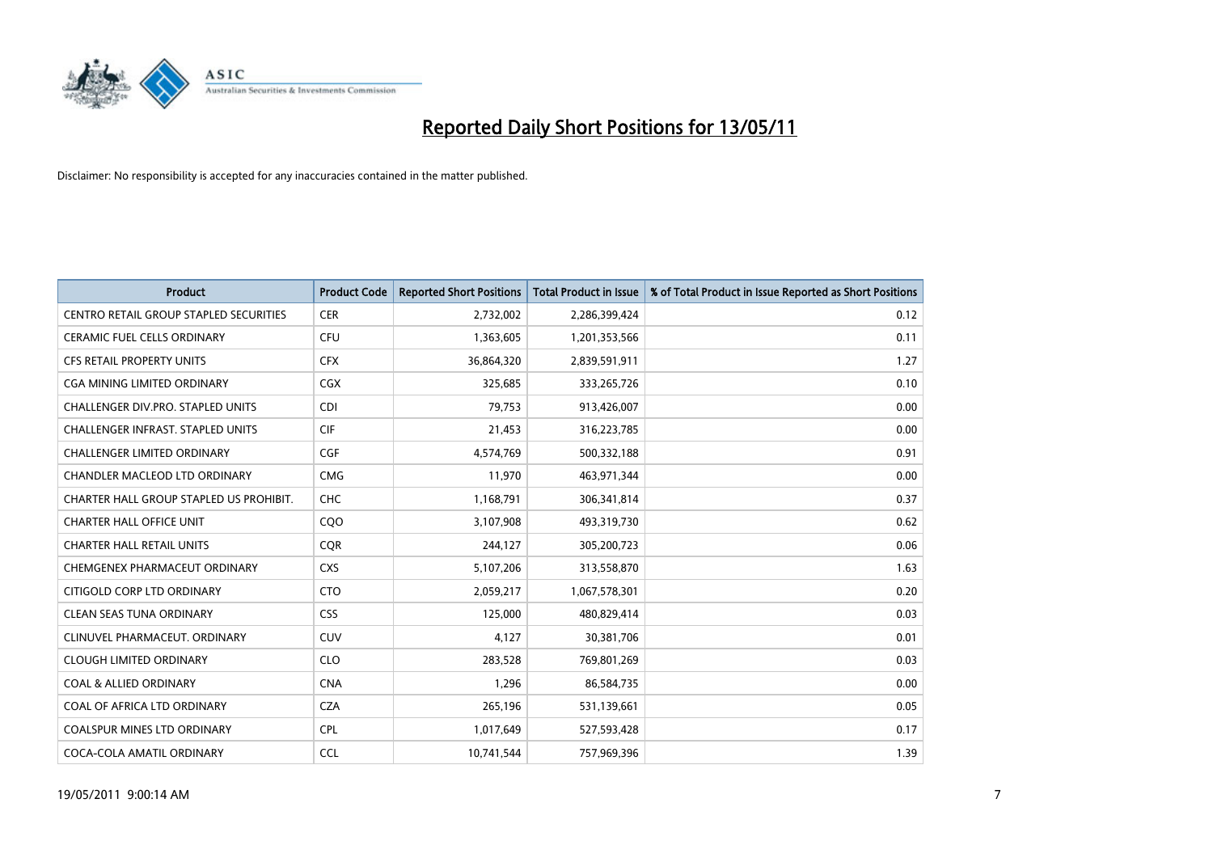

| <b>Product</b>                                | <b>Product Code</b> | <b>Reported Short Positions</b> | Total Product in Issue | % of Total Product in Issue Reported as Short Positions |
|-----------------------------------------------|---------------------|---------------------------------|------------------------|---------------------------------------------------------|
| <b>CENTRO RETAIL GROUP STAPLED SECURITIES</b> | <b>CER</b>          | 2,732,002                       | 2,286,399,424          | 0.12                                                    |
| CERAMIC FUEL CELLS ORDINARY                   | <b>CFU</b>          | 1,363,605                       | 1,201,353,566          | 0.11                                                    |
| <b>CFS RETAIL PROPERTY UNITS</b>              | <b>CFX</b>          | 36,864,320                      | 2,839,591,911          | 1.27                                                    |
| CGA MINING LIMITED ORDINARY                   | <b>CGX</b>          | 325,685                         | 333,265,726            | 0.10                                                    |
| CHALLENGER DIV.PRO. STAPLED UNITS             | <b>CDI</b>          | 79,753                          | 913,426,007            | 0.00                                                    |
| CHALLENGER INFRAST. STAPLED UNITS             | <b>CIF</b>          | 21,453                          | 316,223,785            | 0.00                                                    |
| <b>CHALLENGER LIMITED ORDINARY</b>            | <b>CGF</b>          | 4,574,769                       | 500,332,188            | 0.91                                                    |
| CHANDLER MACLEOD LTD ORDINARY                 | <b>CMG</b>          | 11,970                          | 463,971,344            | 0.00                                                    |
| CHARTER HALL GROUP STAPLED US PROHIBIT.       | <b>CHC</b>          | 1,168,791                       | 306,341,814            | 0.37                                                    |
| <b>CHARTER HALL OFFICE UNIT</b>               | C <sub>O</sub> O    | 3,107,908                       | 493,319,730            | 0.62                                                    |
| <b>CHARTER HALL RETAIL UNITS</b>              | <b>COR</b>          | 244,127                         | 305,200,723            | 0.06                                                    |
| CHEMGENEX PHARMACEUT ORDINARY                 | <b>CXS</b>          | 5,107,206                       | 313,558,870            | 1.63                                                    |
| CITIGOLD CORP LTD ORDINARY                    | <b>CTO</b>          | 2,059,217                       | 1,067,578,301          | 0.20                                                    |
| <b>CLEAN SEAS TUNA ORDINARY</b>               | <b>CSS</b>          | 125.000                         | 480,829,414            | 0.03                                                    |
| CLINUVEL PHARMACEUT, ORDINARY                 | CUV                 | 4,127                           | 30,381,706             | 0.01                                                    |
| <b>CLOUGH LIMITED ORDINARY</b>                | <b>CLO</b>          | 283,528                         | 769,801,269            | 0.03                                                    |
| <b>COAL &amp; ALLIED ORDINARY</b>             | <b>CNA</b>          | 1,296                           | 86,584,735             | 0.00                                                    |
| COAL OF AFRICA LTD ORDINARY                   | <b>CZA</b>          | 265,196                         | 531,139,661            | 0.05                                                    |
| COALSPUR MINES LTD ORDINARY                   | <b>CPL</b>          | 1,017,649                       | 527,593,428            | 0.17                                                    |
| COCA-COLA AMATIL ORDINARY                     | <b>CCL</b>          | 10,741,544                      | 757,969,396            | 1.39                                                    |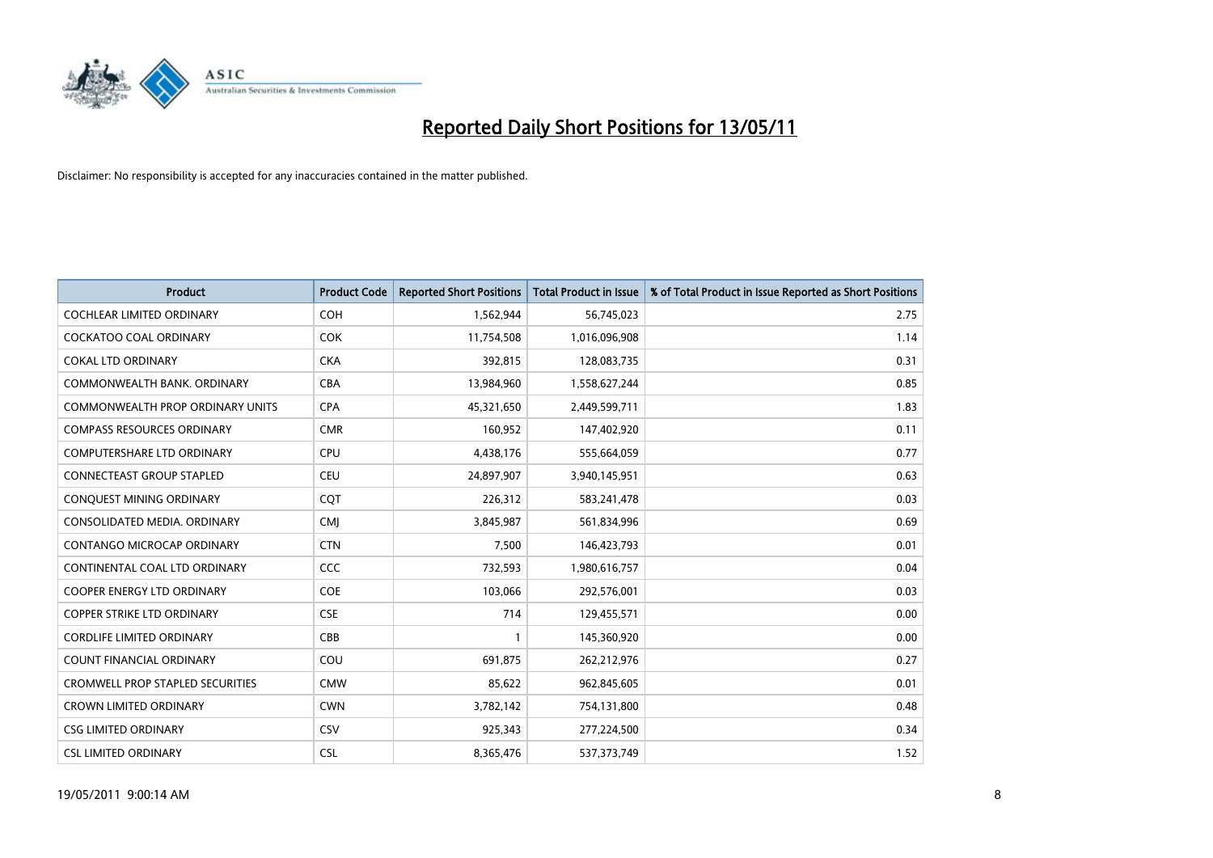

| <b>Product</b>                          | <b>Product Code</b> | <b>Reported Short Positions</b> | Total Product in Issue | % of Total Product in Issue Reported as Short Positions |
|-----------------------------------------|---------------------|---------------------------------|------------------------|---------------------------------------------------------|
| <b>COCHLEAR LIMITED ORDINARY</b>        | <b>COH</b>          | 1,562,944                       | 56,745,023             | 2.75                                                    |
| COCKATOO COAL ORDINARY                  | <b>COK</b>          | 11,754,508                      | 1,016,096,908          | 1.14                                                    |
| <b>COKAL LTD ORDINARY</b>               | <b>CKA</b>          | 392,815                         | 128,083,735            | 0.31                                                    |
| COMMONWEALTH BANK, ORDINARY             | <b>CBA</b>          | 13,984,960                      | 1,558,627,244          | 0.85                                                    |
| <b>COMMONWEALTH PROP ORDINARY UNITS</b> | <b>CPA</b>          | 45,321,650                      | 2,449,599,711          | 1.83                                                    |
| <b>COMPASS RESOURCES ORDINARY</b>       | <b>CMR</b>          | 160,952                         | 147,402,920            | 0.11                                                    |
| <b>COMPUTERSHARE LTD ORDINARY</b>       | <b>CPU</b>          | 4,438,176                       | 555,664,059            | 0.77                                                    |
| CONNECTEAST GROUP STAPLED               | <b>CEU</b>          | 24,897,907                      | 3,940,145,951          | 0.63                                                    |
| CONQUEST MINING ORDINARY                | CQT                 | 226,312                         | 583,241,478            | 0.03                                                    |
| CONSOLIDATED MEDIA, ORDINARY            | <b>CMI</b>          | 3,845,987                       | 561,834,996            | 0.69                                                    |
| CONTANGO MICROCAP ORDINARY              | <b>CTN</b>          | 7,500                           | 146,423,793            | 0.01                                                    |
| CONTINENTAL COAL LTD ORDINARY           | CCC                 | 732,593                         | 1,980,616,757          | 0.04                                                    |
| <b>COOPER ENERGY LTD ORDINARY</b>       | <b>COE</b>          | 103,066                         | 292,576,001            | 0.03                                                    |
| <b>COPPER STRIKE LTD ORDINARY</b>       | <b>CSE</b>          | 714                             | 129,455,571            | 0.00                                                    |
| <b>CORDLIFE LIMITED ORDINARY</b>        | CBB                 | 1                               | 145,360,920            | 0.00                                                    |
| <b>COUNT FINANCIAL ORDINARY</b>         | COU                 | 691.875                         | 262,212,976            | 0.27                                                    |
| <b>CROMWELL PROP STAPLED SECURITIES</b> | <b>CMW</b>          | 85,622                          | 962,845,605            | 0.01                                                    |
| <b>CROWN LIMITED ORDINARY</b>           | <b>CWN</b>          | 3,782,142                       | 754,131,800            | 0.48                                                    |
| <b>CSG LIMITED ORDINARY</b>             | CSV                 | 925,343                         | 277,224,500            | 0.34                                                    |
| <b>CSL LIMITED ORDINARY</b>             | <b>CSL</b>          | 8,365,476                       | 537,373,749            | 1.52                                                    |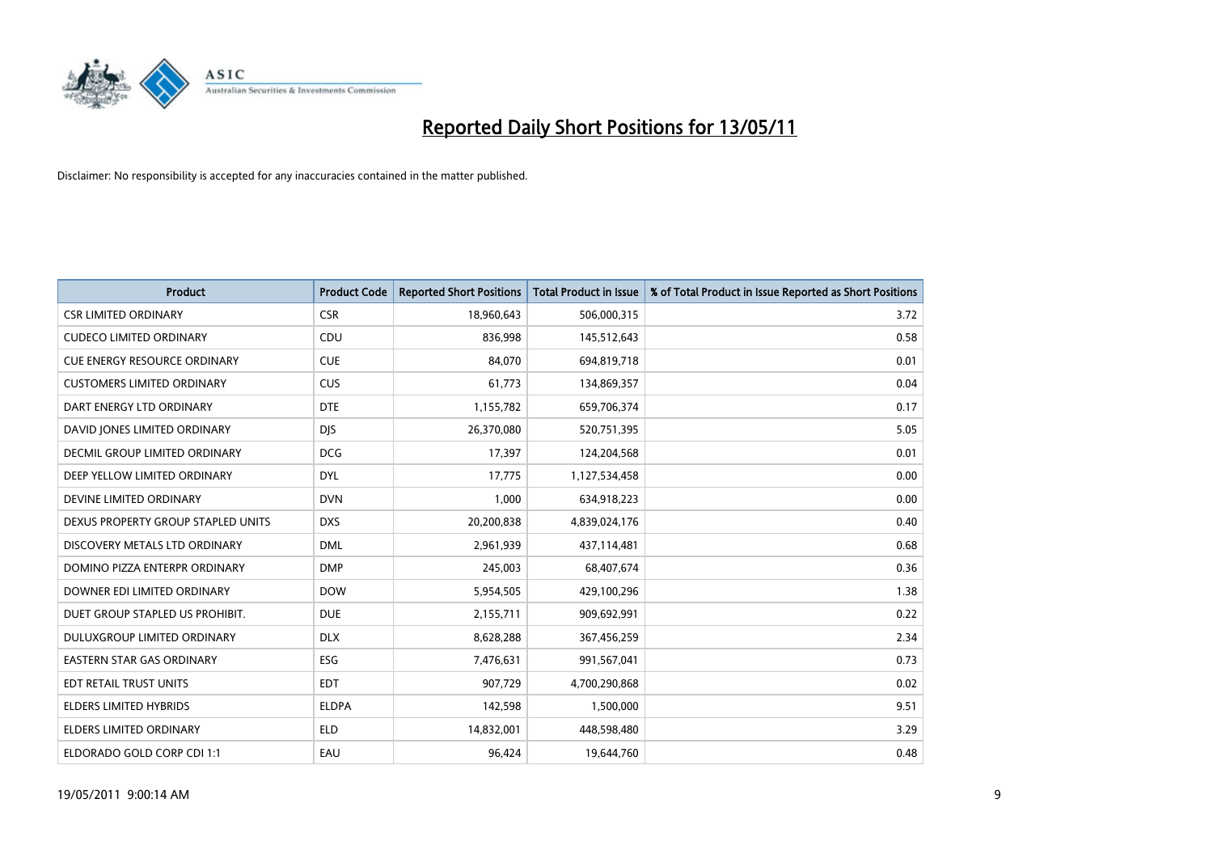

| <b>Product</b>                      | <b>Product Code</b> | <b>Reported Short Positions</b> | <b>Total Product in Issue</b> | % of Total Product in Issue Reported as Short Positions |
|-------------------------------------|---------------------|---------------------------------|-------------------------------|---------------------------------------------------------|
| <b>CSR LIMITED ORDINARY</b>         | <b>CSR</b>          | 18,960,643                      | 506,000,315                   | 3.72                                                    |
| <b>CUDECO LIMITED ORDINARY</b>      | CDU                 | 836,998                         | 145,512,643                   | 0.58                                                    |
| <b>CUE ENERGY RESOURCE ORDINARY</b> | <b>CUE</b>          | 84.070                          | 694,819,718                   | 0.01                                                    |
| <b>CUSTOMERS LIMITED ORDINARY</b>   | <b>CUS</b>          | 61,773                          | 134,869,357                   | 0.04                                                    |
| DART ENERGY LTD ORDINARY            | <b>DTE</b>          | 1,155,782                       | 659,706,374                   | 0.17                                                    |
| DAVID JONES LIMITED ORDINARY        | <b>DJS</b>          | 26,370,080                      | 520,751,395                   | 5.05                                                    |
| DECMIL GROUP LIMITED ORDINARY       | <b>DCG</b>          | 17,397                          | 124,204,568                   | 0.01                                                    |
| DEEP YELLOW LIMITED ORDINARY        | <b>DYL</b>          | 17,775                          | 1,127,534,458                 | 0.00                                                    |
| DEVINE LIMITED ORDINARY             | <b>DVN</b>          | 1,000                           | 634,918,223                   | 0.00                                                    |
| DEXUS PROPERTY GROUP STAPLED UNITS  | <b>DXS</b>          | 20,200,838                      | 4,839,024,176                 | 0.40                                                    |
| DISCOVERY METALS LTD ORDINARY       | <b>DML</b>          | 2,961,939                       | 437,114,481                   | 0.68                                                    |
| DOMINO PIZZA ENTERPR ORDINARY       | <b>DMP</b>          | 245,003                         | 68,407,674                    | 0.36                                                    |
| DOWNER EDI LIMITED ORDINARY         | <b>DOW</b>          | 5,954,505                       | 429,100,296                   | 1.38                                                    |
| DUET GROUP STAPLED US PROHIBIT.     | <b>DUE</b>          | 2,155,711                       | 909,692,991                   | 0.22                                                    |
| DULUXGROUP LIMITED ORDINARY         | <b>DLX</b>          | 8,628,288                       | 367,456,259                   | 2.34                                                    |
| <b>EASTERN STAR GAS ORDINARY</b>    | ESG                 | 7,476,631                       | 991,567,041                   | 0.73                                                    |
| EDT RETAIL TRUST UNITS              | <b>EDT</b>          | 907,729                         | 4,700,290,868                 | 0.02                                                    |
| ELDERS LIMITED HYBRIDS              | <b>ELDPA</b>        | 142,598                         | 1,500,000                     | 9.51                                                    |
| <b>ELDERS LIMITED ORDINARY</b>      | <b>ELD</b>          | 14,832,001                      | 448,598,480                   | 3.29                                                    |
| ELDORADO GOLD CORP CDI 1:1          | EAU                 | 96,424                          | 19,644,760                    | 0.48                                                    |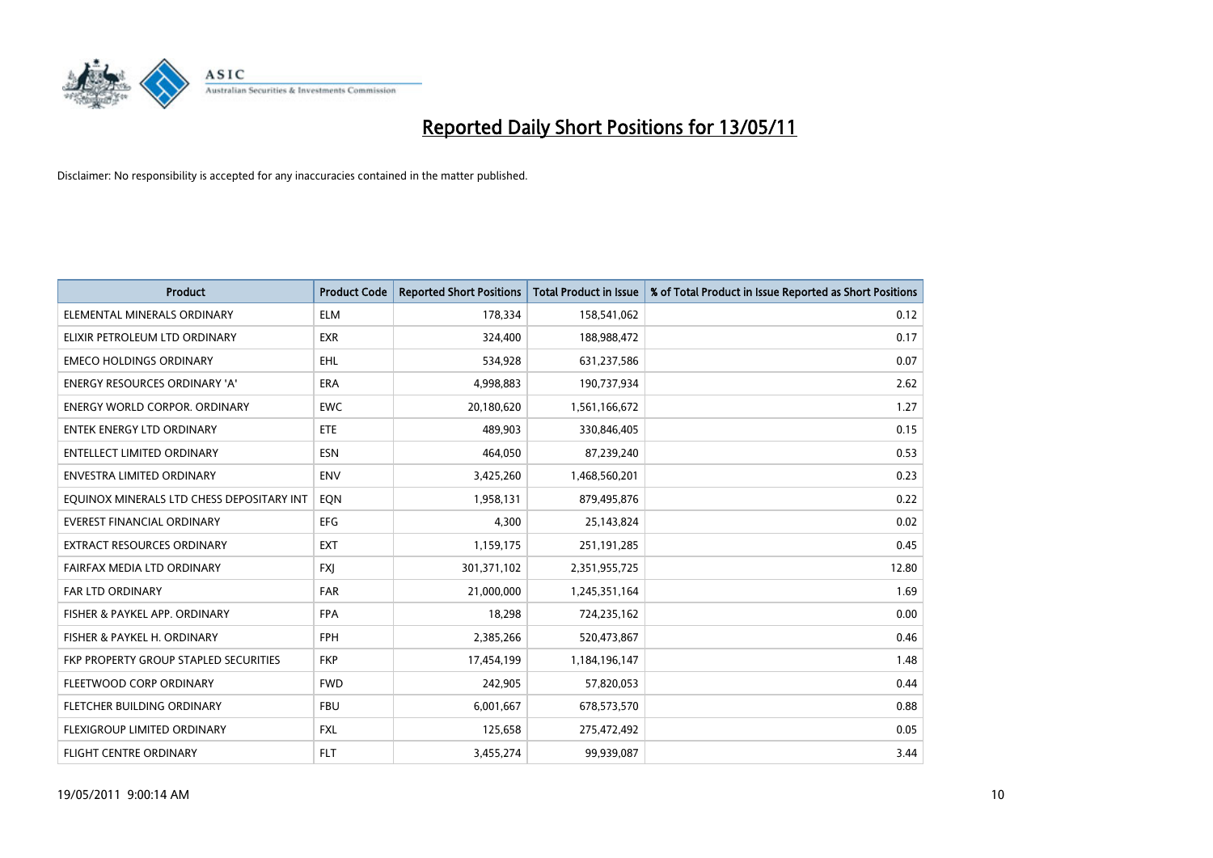

| <b>Product</b>                            | <b>Product Code</b> | <b>Reported Short Positions</b> | <b>Total Product in Issue</b> | % of Total Product in Issue Reported as Short Positions |
|-------------------------------------------|---------------------|---------------------------------|-------------------------------|---------------------------------------------------------|
| ELEMENTAL MINERALS ORDINARY               | <b>ELM</b>          | 178,334                         | 158,541,062                   | 0.12                                                    |
| ELIXIR PETROLEUM LTD ORDINARY             | <b>EXR</b>          | 324,400                         | 188,988,472                   | 0.17                                                    |
| <b>EMECO HOLDINGS ORDINARY</b>            | <b>EHL</b>          | 534,928                         | 631,237,586                   | 0.07                                                    |
| ENERGY RESOURCES ORDINARY 'A'             | <b>ERA</b>          | 4,998,883                       | 190,737,934                   | 2.62                                                    |
| <b>ENERGY WORLD CORPOR, ORDINARY</b>      | <b>EWC</b>          | 20,180,620                      | 1,561,166,672                 | 1.27                                                    |
| <b>ENTEK ENERGY LTD ORDINARY</b>          | ETE                 | 489,903                         | 330,846,405                   | 0.15                                                    |
| ENTELLECT LIMITED ORDINARY                | <b>ESN</b>          | 464,050                         | 87,239,240                    | 0.53                                                    |
| ENVESTRA LIMITED ORDINARY                 | <b>ENV</b>          | 3,425,260                       | 1,468,560,201                 | 0.23                                                    |
| EQUINOX MINERALS LTD CHESS DEPOSITARY INT | EON                 | 1,958,131                       | 879,495,876                   | 0.22                                                    |
| <b>EVEREST FINANCIAL ORDINARY</b>         | <b>EFG</b>          | 4,300                           | 25,143,824                    | 0.02                                                    |
| EXTRACT RESOURCES ORDINARY                | <b>EXT</b>          | 1,159,175                       | 251,191,285                   | 0.45                                                    |
| FAIRFAX MEDIA LTD ORDINARY                | <b>FXJ</b>          | 301,371,102                     | 2,351,955,725                 | 12.80                                                   |
| FAR LTD ORDINARY                          | FAR                 | 21,000,000                      | 1,245,351,164                 | 1.69                                                    |
| FISHER & PAYKEL APP. ORDINARY             | <b>FPA</b>          | 18,298                          | 724,235,162                   | 0.00                                                    |
| FISHER & PAYKEL H. ORDINARY               | <b>FPH</b>          | 2,385,266                       | 520,473,867                   | 0.46                                                    |
| FKP PROPERTY GROUP STAPLED SECURITIES     | <b>FKP</b>          | 17,454,199                      | 1,184,196,147                 | 1.48                                                    |
| FLEETWOOD CORP ORDINARY                   | <b>FWD</b>          | 242,905                         | 57,820,053                    | 0.44                                                    |
| FLETCHER BUILDING ORDINARY                | <b>FBU</b>          | 6,001,667                       | 678,573,570                   | 0.88                                                    |
| FLEXIGROUP LIMITED ORDINARY               | <b>FXL</b>          | 125,658                         | 275,472,492                   | 0.05                                                    |
| FLIGHT CENTRE ORDINARY                    | <b>FLT</b>          | 3,455,274                       | 99,939,087                    | 3.44                                                    |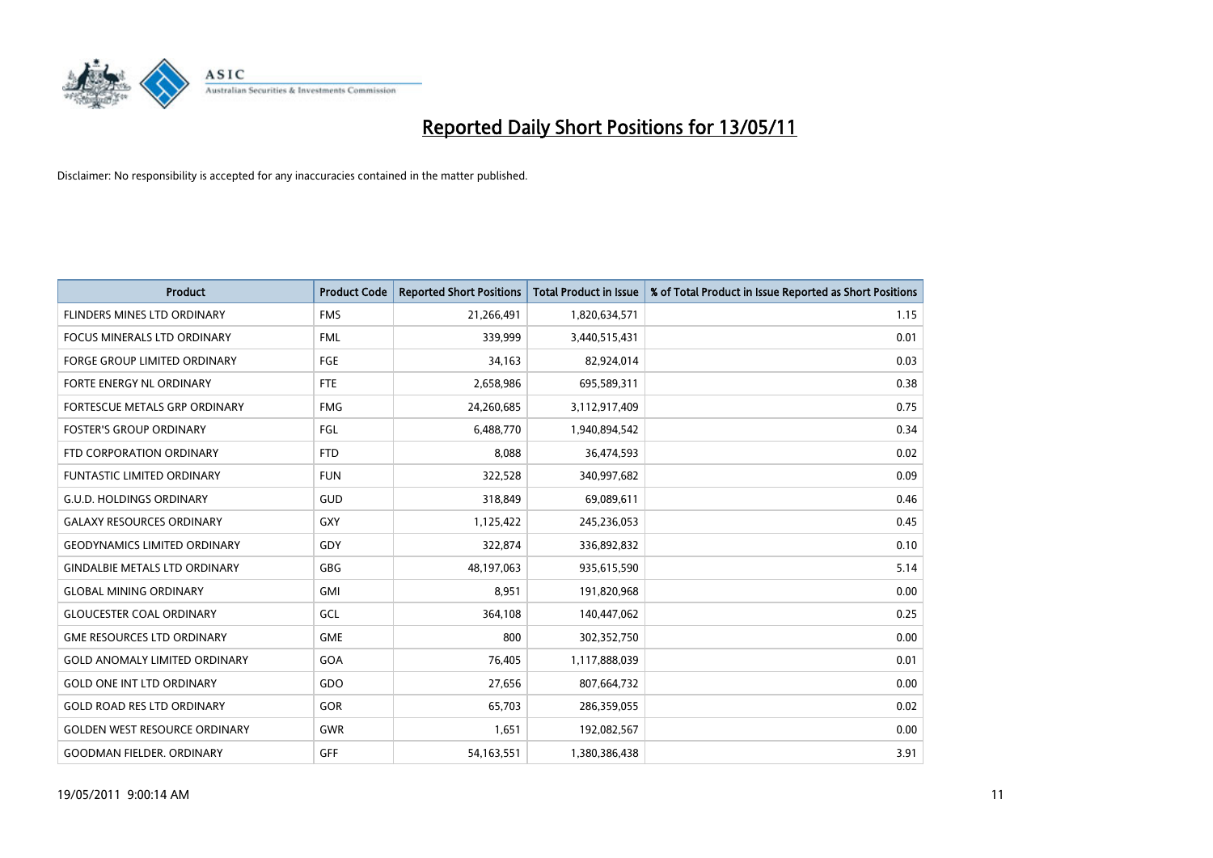

| <b>Product</b>                       | <b>Product Code</b> | <b>Reported Short Positions</b> | <b>Total Product in Issue</b> | % of Total Product in Issue Reported as Short Positions |
|--------------------------------------|---------------------|---------------------------------|-------------------------------|---------------------------------------------------------|
| <b>FLINDERS MINES LTD ORDINARY</b>   | <b>FMS</b>          | 21,266,491                      | 1,820,634,571                 | 1.15                                                    |
| FOCUS MINERALS LTD ORDINARY          | <b>FML</b>          | 339,999                         | 3,440,515,431                 | 0.01                                                    |
| <b>FORGE GROUP LIMITED ORDINARY</b>  | <b>FGE</b>          | 34,163                          | 82,924,014                    | 0.03                                                    |
| FORTE ENERGY NL ORDINARY             | <b>FTE</b>          | 2,658,986                       | 695,589,311                   | 0.38                                                    |
| FORTESCUE METALS GRP ORDINARY        | <b>FMG</b>          | 24,260,685                      | 3,112,917,409                 | 0.75                                                    |
| <b>FOSTER'S GROUP ORDINARY</b>       | <b>FGL</b>          | 6,488,770                       | 1,940,894,542                 | 0.34                                                    |
| FTD CORPORATION ORDINARY             | <b>FTD</b>          | 8,088                           | 36,474,593                    | 0.02                                                    |
| <b>FUNTASTIC LIMITED ORDINARY</b>    | <b>FUN</b>          | 322,528                         | 340,997,682                   | 0.09                                                    |
| <b>G.U.D. HOLDINGS ORDINARY</b>      | <b>GUD</b>          | 318,849                         | 69,089,611                    | 0.46                                                    |
| <b>GALAXY RESOURCES ORDINARY</b>     | <b>GXY</b>          | 1,125,422                       | 245,236,053                   | 0.45                                                    |
| <b>GEODYNAMICS LIMITED ORDINARY</b>  | GDY                 | 322,874                         | 336,892,832                   | 0.10                                                    |
| <b>GINDALBIE METALS LTD ORDINARY</b> | <b>GBG</b>          | 48,197,063                      | 935,615,590                   | 5.14                                                    |
| <b>GLOBAL MINING ORDINARY</b>        | <b>GMI</b>          | 8,951                           | 191,820,968                   | 0.00                                                    |
| <b>GLOUCESTER COAL ORDINARY</b>      | GCL                 | 364,108                         | 140,447,062                   | 0.25                                                    |
| <b>GME RESOURCES LTD ORDINARY</b>    | <b>GME</b>          | 800                             | 302,352,750                   | 0.00                                                    |
| <b>GOLD ANOMALY LIMITED ORDINARY</b> | GOA                 | 76,405                          | 1,117,888,039                 | 0.01                                                    |
| <b>GOLD ONE INT LTD ORDINARY</b>     | GDO                 | 27,656                          | 807,664,732                   | 0.00                                                    |
| <b>GOLD ROAD RES LTD ORDINARY</b>    | GOR                 | 65,703                          | 286,359,055                   | 0.02                                                    |
| <b>GOLDEN WEST RESOURCE ORDINARY</b> | <b>GWR</b>          | 1,651                           | 192,082,567                   | 0.00                                                    |
| <b>GOODMAN FIELDER, ORDINARY</b>     | <b>GFF</b>          | 54, 163, 551                    | 1,380,386,438                 | 3.91                                                    |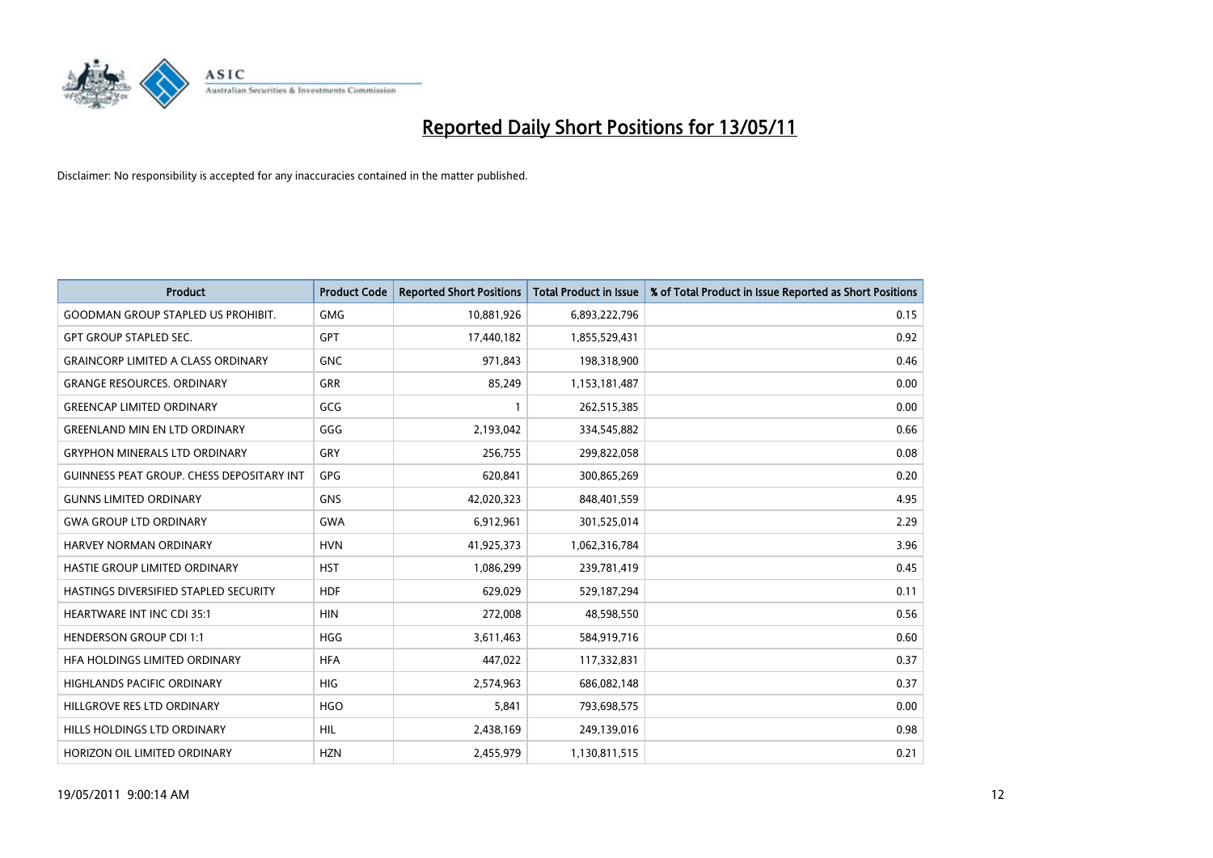

| <b>Product</b>                            | <b>Product Code</b> | <b>Reported Short Positions</b> | <b>Total Product in Issue</b> | % of Total Product in Issue Reported as Short Positions |
|-------------------------------------------|---------------------|---------------------------------|-------------------------------|---------------------------------------------------------|
| <b>GOODMAN GROUP STAPLED US PROHIBIT.</b> | <b>GMG</b>          | 10,881,926                      | 6,893,222,796                 | 0.15                                                    |
| <b>GPT GROUP STAPLED SEC.</b>             | <b>GPT</b>          | 17,440,182                      | 1,855,529,431                 | 0.92                                                    |
| <b>GRAINCORP LIMITED A CLASS ORDINARY</b> | <b>GNC</b>          | 971,843                         | 198,318,900                   | 0.46                                                    |
| <b>GRANGE RESOURCES. ORDINARY</b>         | <b>GRR</b>          | 85,249                          | 1,153,181,487                 | 0.00                                                    |
| <b>GREENCAP LIMITED ORDINARY</b>          | GCG                 |                                 | 262,515,385                   | 0.00                                                    |
| <b>GREENLAND MIN EN LTD ORDINARY</b>      | GGG                 | 2,193,042                       | 334,545,882                   | 0.66                                                    |
| <b>GRYPHON MINERALS LTD ORDINARY</b>      | GRY                 | 256,755                         | 299,822,058                   | 0.08                                                    |
| GUINNESS PEAT GROUP. CHESS DEPOSITARY INT | GPG                 | 620,841                         | 300,865,269                   | 0.20                                                    |
| <b>GUNNS LIMITED ORDINARY</b>             | <b>GNS</b>          | 42,020,323                      | 848,401,559                   | 4.95                                                    |
| <b>GWA GROUP LTD ORDINARY</b>             | <b>GWA</b>          | 6,912,961                       | 301,525,014                   | 2.29                                                    |
| HARVEY NORMAN ORDINARY                    | <b>HVN</b>          | 41,925,373                      | 1,062,316,784                 | 3.96                                                    |
| HASTIE GROUP LIMITED ORDINARY             | <b>HST</b>          | 1,086,299                       | 239,781,419                   | 0.45                                                    |
| HASTINGS DIVERSIFIED STAPLED SECURITY     | <b>HDF</b>          | 629,029                         | 529,187,294                   | 0.11                                                    |
| <b>HEARTWARE INT INC CDI 35:1</b>         | <b>HIN</b>          | 272,008                         | 48,598,550                    | 0.56                                                    |
| <b>HENDERSON GROUP CDI 1:1</b>            | <b>HGG</b>          | 3,611,463                       | 584,919,716                   | 0.60                                                    |
| HFA HOLDINGS LIMITED ORDINARY             | <b>HFA</b>          | 447,022                         | 117,332,831                   | 0.37                                                    |
| <b>HIGHLANDS PACIFIC ORDINARY</b>         | <b>HIG</b>          | 2,574,963                       | 686,082,148                   | 0.37                                                    |
| HILLGROVE RES LTD ORDINARY                | <b>HGO</b>          | 5,841                           | 793,698,575                   | 0.00                                                    |
| HILLS HOLDINGS LTD ORDINARY               | <b>HIL</b>          | 2,438,169                       | 249,139,016                   | 0.98                                                    |
| HORIZON OIL LIMITED ORDINARY              | <b>HZN</b>          | 2.455.979                       | 1,130,811,515                 | 0.21                                                    |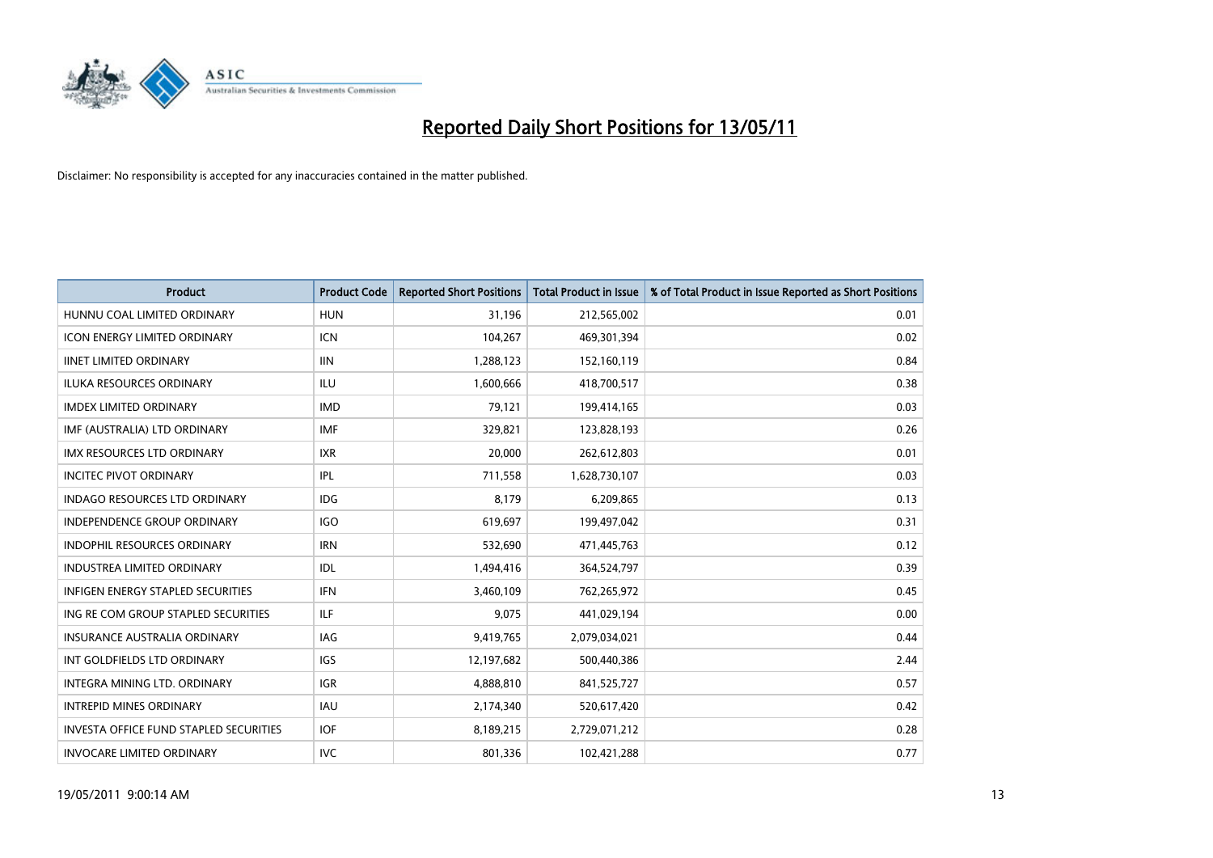

| <b>Product</b>                                | <b>Product Code</b> | <b>Reported Short Positions</b> | Total Product in Issue | % of Total Product in Issue Reported as Short Positions |
|-----------------------------------------------|---------------------|---------------------------------|------------------------|---------------------------------------------------------|
| HUNNU COAL LIMITED ORDINARY                   | <b>HUN</b>          | 31,196                          | 212,565,002            | 0.01                                                    |
| ICON ENERGY LIMITED ORDINARY                  | <b>ICN</b>          | 104,267                         | 469,301,394            | 0.02                                                    |
| <b>IINET LIMITED ORDINARY</b>                 | <b>IIN</b>          | 1,288,123                       | 152,160,119            | 0.84                                                    |
| ILUKA RESOURCES ORDINARY                      | ILU                 | 1,600,666                       | 418,700,517            | 0.38                                                    |
| <b>IMDEX LIMITED ORDINARY</b>                 | <b>IMD</b>          | 79,121                          | 199,414,165            | 0.03                                                    |
| IMF (AUSTRALIA) LTD ORDINARY                  | <b>IMF</b>          | 329,821                         | 123,828,193            | 0.26                                                    |
| <b>IMX RESOURCES LTD ORDINARY</b>             | <b>IXR</b>          | 20,000                          | 262,612,803            | 0.01                                                    |
| <b>INCITEC PIVOT ORDINARY</b>                 | <b>IPL</b>          | 711,558                         | 1,628,730,107          | 0.03                                                    |
| <b>INDAGO RESOURCES LTD ORDINARY</b>          | <b>IDG</b>          | 8,179                           | 6,209,865              | 0.13                                                    |
| <b>INDEPENDENCE GROUP ORDINARY</b>            | <b>IGO</b>          | 619,697                         | 199,497,042            | 0.31                                                    |
| INDOPHIL RESOURCES ORDINARY                   | <b>IRN</b>          | 532,690                         | 471,445,763            | 0.12                                                    |
| <b>INDUSTREA LIMITED ORDINARY</b>             | <b>IDL</b>          | 1,494,416                       | 364,524,797            | 0.39                                                    |
| INFIGEN ENERGY STAPLED SECURITIES             | <b>IFN</b>          | 3,460,109                       | 762,265,972            | 0.45                                                    |
| ING RE COM GROUP STAPLED SECURITIES           | <b>ILF</b>          | 9,075                           | 441,029,194            | 0.00                                                    |
| <b>INSURANCE AUSTRALIA ORDINARY</b>           | <b>IAG</b>          | 9,419,765                       | 2,079,034,021          | 0.44                                                    |
| INT GOLDFIELDS LTD ORDINARY                   | <b>IGS</b>          | 12,197,682                      | 500,440,386            | 2.44                                                    |
| INTEGRA MINING LTD. ORDINARY                  | <b>IGR</b>          | 4,888,810                       | 841,525,727            | 0.57                                                    |
| <b>INTREPID MINES ORDINARY</b>                | <b>IAU</b>          | 2,174,340                       | 520,617,420            | 0.42                                                    |
| <b>INVESTA OFFICE FUND STAPLED SECURITIES</b> | <b>IOF</b>          | 8,189,215                       | 2,729,071,212          | 0.28                                                    |
| <b>INVOCARE LIMITED ORDINARY</b>              | <b>IVC</b>          | 801,336                         | 102,421,288            | 0.77                                                    |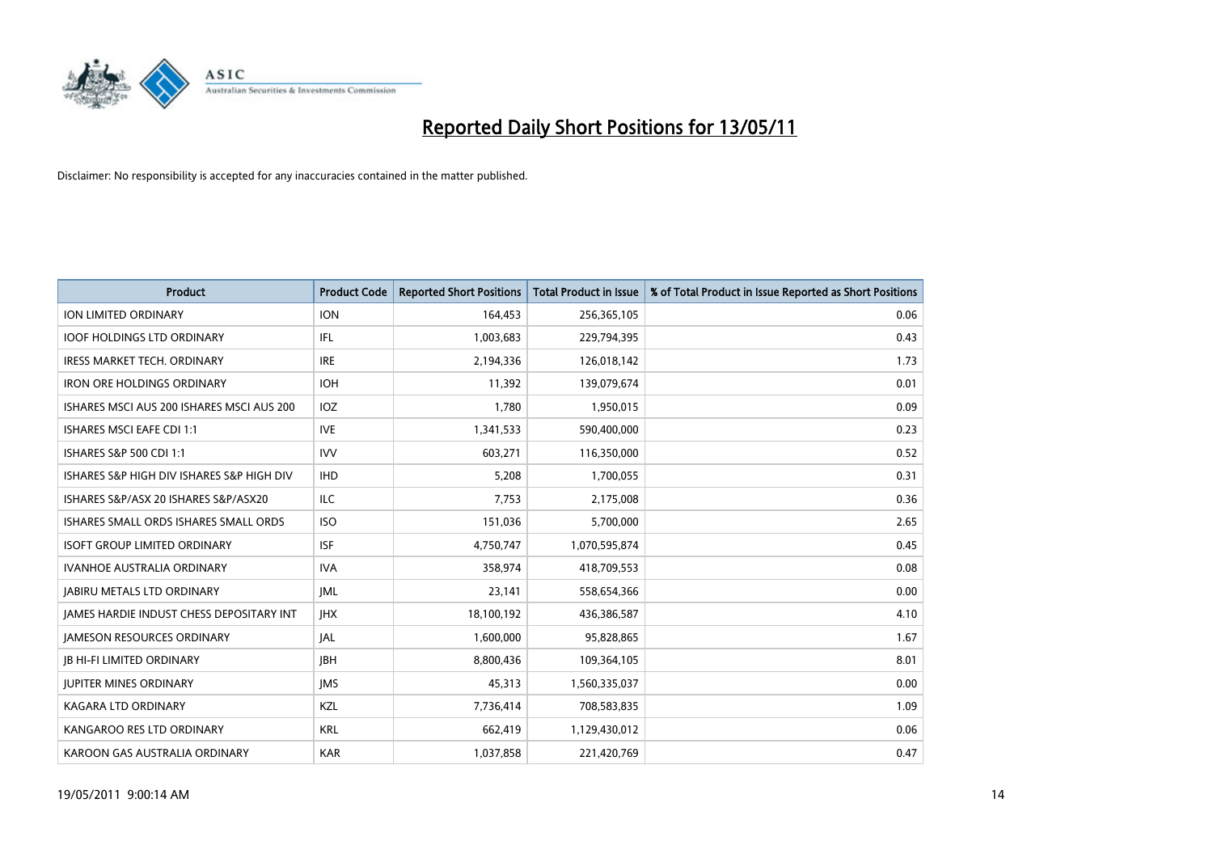

| <b>Product</b>                                  | <b>Product Code</b> | <b>Reported Short Positions</b> | <b>Total Product in Issue</b> | % of Total Product in Issue Reported as Short Positions |
|-------------------------------------------------|---------------------|---------------------------------|-------------------------------|---------------------------------------------------------|
| <b>ION LIMITED ORDINARY</b>                     | <b>ION</b>          | 164,453                         | 256,365,105                   | 0.06                                                    |
| <b>IOOF HOLDINGS LTD ORDINARY</b>               | IFL                 | 1,003,683                       | 229,794,395                   | 0.43                                                    |
| <b>IRESS MARKET TECH. ORDINARY</b>              | <b>IRE</b>          | 2,194,336                       | 126,018,142                   | 1.73                                                    |
| IRON ORE HOLDINGS ORDINARY                      | <b>IOH</b>          | 11,392                          | 139,079,674                   | 0.01                                                    |
| ISHARES MSCI AUS 200 ISHARES MSCI AUS 200       | IOZ                 | 1,780                           | 1,950,015                     | 0.09                                                    |
| <b>ISHARES MSCI EAFE CDI 1:1</b>                | <b>IVE</b>          | 1,341,533                       | 590,400,000                   | 0.23                                                    |
| ISHARES S&P 500 CDI 1:1                         | <b>IVV</b>          | 603,271                         | 116,350,000                   | 0.52                                                    |
| ISHARES S&P HIGH DIV ISHARES S&P HIGH DIV       | <b>IHD</b>          | 5,208                           | 1,700,055                     | 0.31                                                    |
| ISHARES S&P/ASX 20 ISHARES S&P/ASX20            | <b>ILC</b>          | 7,753                           | 2,175,008                     | 0.36                                                    |
| ISHARES SMALL ORDS ISHARES SMALL ORDS           | <b>ISO</b>          | 151,036                         | 5,700,000                     | 2.65                                                    |
| <b>ISOFT GROUP LIMITED ORDINARY</b>             | <b>ISF</b>          | 4,750,747                       | 1,070,595,874                 | 0.45                                                    |
| <b>IVANHOE AUSTRALIA ORDINARY</b>               | <b>IVA</b>          | 358,974                         | 418,709,553                   | 0.08                                                    |
| <b>JABIRU METALS LTD ORDINARY</b>               | <b>JML</b>          | 23,141                          | 558,654,366                   | 0.00                                                    |
| <b>JAMES HARDIE INDUST CHESS DEPOSITARY INT</b> | <b>IHX</b>          | 18,100,192                      | 436,386,587                   | 4.10                                                    |
| <b>JAMESON RESOURCES ORDINARY</b>               | <b>JAL</b>          | 1,600,000                       | 95,828,865                    | 1.67                                                    |
| <b>JB HI-FI LIMITED ORDINARY</b>                | <b>IBH</b>          | 8,800,436                       | 109,364,105                   | 8.01                                                    |
| <b>JUPITER MINES ORDINARY</b>                   | <b>IMS</b>          | 45,313                          | 1,560,335,037                 | 0.00                                                    |
| <b>KAGARA LTD ORDINARY</b>                      | KZL                 | 7,736,414                       | 708,583,835                   | 1.09                                                    |
| KANGAROO RES LTD ORDINARY                       | <b>KRL</b>          | 662,419                         | 1,129,430,012                 | 0.06                                                    |
| KAROON GAS AUSTRALIA ORDINARY                   | <b>KAR</b>          | 1,037,858                       | 221,420,769                   | 0.47                                                    |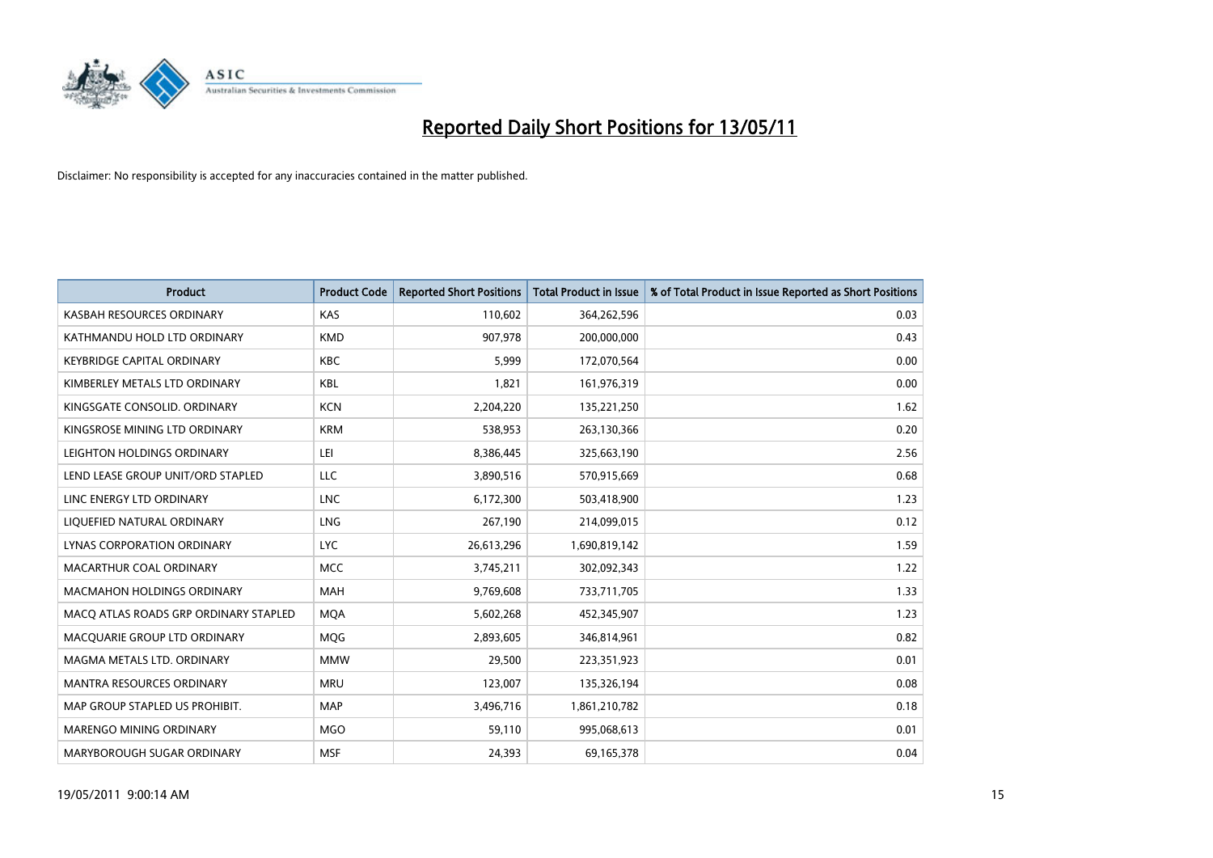

| <b>Product</b>                        | <b>Product Code</b> | <b>Reported Short Positions</b> | Total Product in Issue | % of Total Product in Issue Reported as Short Positions |
|---------------------------------------|---------------------|---------------------------------|------------------------|---------------------------------------------------------|
| KASBAH RESOURCES ORDINARY             | <b>KAS</b>          | 110,602                         | 364,262,596            | 0.03                                                    |
| KATHMANDU HOLD LTD ORDINARY           | <b>KMD</b>          | 907,978                         | 200,000,000            | 0.43                                                    |
| <b>KEYBRIDGE CAPITAL ORDINARY</b>     | <b>KBC</b>          | 5,999                           | 172,070,564            | 0.00                                                    |
| KIMBERLEY METALS LTD ORDINARY         | <b>KBL</b>          | 1,821                           | 161,976,319            | 0.00                                                    |
| KINGSGATE CONSOLID, ORDINARY          | <b>KCN</b>          | 2,204,220                       | 135,221,250            | 1.62                                                    |
| KINGSROSE MINING LTD ORDINARY         | <b>KRM</b>          | 538.953                         | 263,130,366            | 0.20                                                    |
| LEIGHTON HOLDINGS ORDINARY            | LEI                 | 8,386,445                       | 325,663,190            | 2.56                                                    |
| LEND LEASE GROUP UNIT/ORD STAPLED     | LLC                 | 3,890,516                       | 570,915,669            | 0.68                                                    |
| LINC ENERGY LTD ORDINARY              | <b>LNC</b>          | 6,172,300                       | 503,418,900            | 1.23                                                    |
| LIQUEFIED NATURAL ORDINARY            | <b>LNG</b>          | 267,190                         | 214,099,015            | 0.12                                                    |
| LYNAS CORPORATION ORDINARY            | <b>LYC</b>          | 26,613,296                      | 1,690,819,142          | 1.59                                                    |
| MACARTHUR COAL ORDINARY               | <b>MCC</b>          | 3,745,211                       | 302,092,343            | 1.22                                                    |
| <b>MACMAHON HOLDINGS ORDINARY</b>     | <b>MAH</b>          | 9,769,608                       | 733,711,705            | 1.33                                                    |
| MACQ ATLAS ROADS GRP ORDINARY STAPLED | <b>MOA</b>          | 5,602,268                       | 452,345,907            | 1.23                                                    |
| MACQUARIE GROUP LTD ORDINARY          | MQG                 | 2,893,605                       | 346,814,961            | 0.82                                                    |
| MAGMA METALS LTD. ORDINARY            | <b>MMW</b>          | 29.500                          | 223,351,923            | 0.01                                                    |
| <b>MANTRA RESOURCES ORDINARY</b>      | <b>MRU</b>          | 123,007                         | 135,326,194            | 0.08                                                    |
| MAP GROUP STAPLED US PROHIBIT.        | <b>MAP</b>          | 3,496,716                       | 1,861,210,782          | 0.18                                                    |
| MARENGO MINING ORDINARY               | <b>MGO</b>          | 59,110                          | 995,068,613            | 0.01                                                    |
| MARYBOROUGH SUGAR ORDINARY            | <b>MSF</b>          | 24,393                          | 69,165,378             | 0.04                                                    |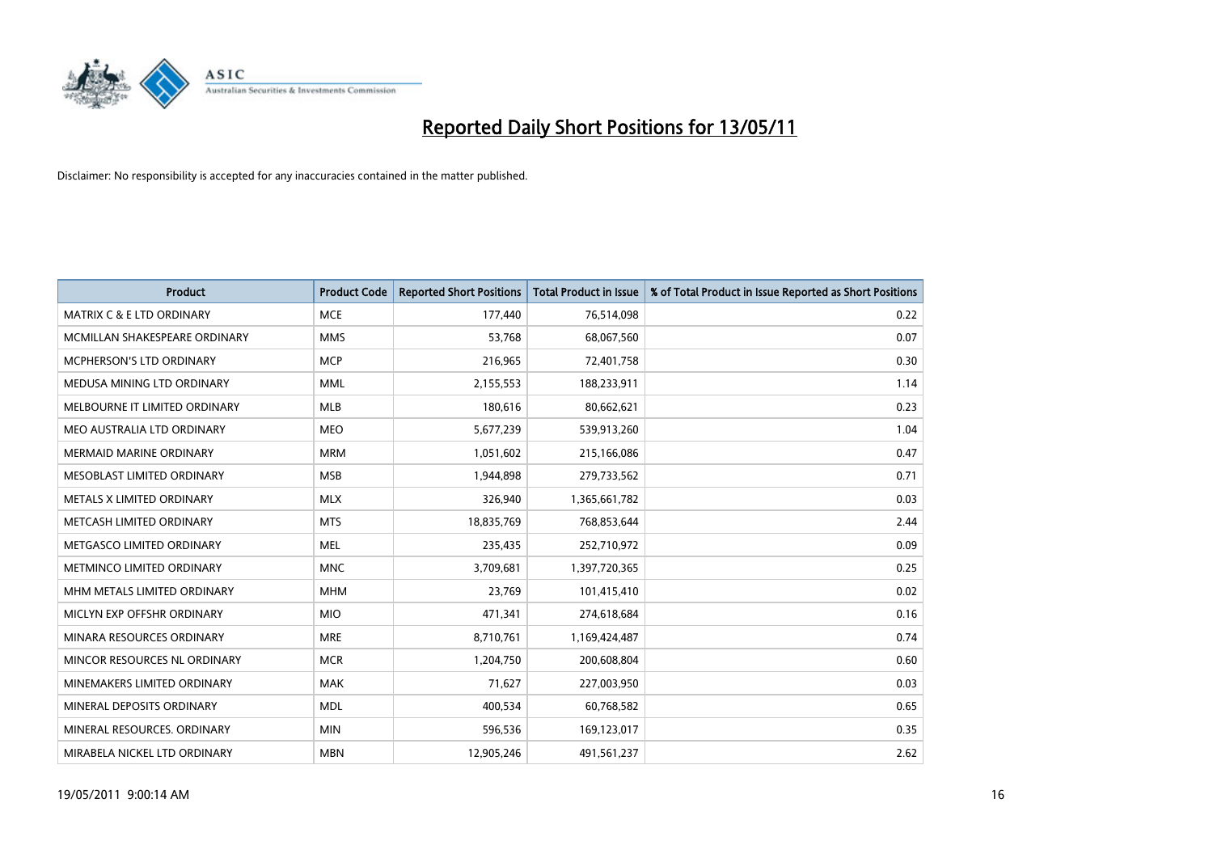

| <b>Product</b>                       | <b>Product Code</b> | <b>Reported Short Positions</b> | <b>Total Product in Issue</b> | % of Total Product in Issue Reported as Short Positions |
|--------------------------------------|---------------------|---------------------------------|-------------------------------|---------------------------------------------------------|
| <b>MATRIX C &amp; E LTD ORDINARY</b> | <b>MCE</b>          | 177,440                         | 76,514,098                    | 0.22                                                    |
| MCMILLAN SHAKESPEARE ORDINARY        | <b>MMS</b>          | 53,768                          | 68,067,560                    | 0.07                                                    |
| MCPHERSON'S LTD ORDINARY             | <b>MCP</b>          | 216,965                         | 72,401,758                    | 0.30                                                    |
| MEDUSA MINING LTD ORDINARY           | <b>MML</b>          | 2,155,553                       | 188,233,911                   | 1.14                                                    |
| MELBOURNE IT LIMITED ORDINARY        | MLB                 | 180,616                         | 80,662,621                    | 0.23                                                    |
| MEO AUSTRALIA LTD ORDINARY           | <b>MEO</b>          | 5,677,239                       | 539,913,260                   | 1.04                                                    |
| <b>MERMAID MARINE ORDINARY</b>       | <b>MRM</b>          | 1,051,602                       | 215,166,086                   | 0.47                                                    |
| MESOBLAST LIMITED ORDINARY           | <b>MSB</b>          | 1,944,898                       | 279,733,562                   | 0.71                                                    |
| METALS X LIMITED ORDINARY            | <b>MLX</b>          | 326,940                         | 1,365,661,782                 | 0.03                                                    |
| METCASH LIMITED ORDINARY             | <b>MTS</b>          | 18,835,769                      | 768,853,644                   | 2.44                                                    |
| METGASCO LIMITED ORDINARY            | <b>MEL</b>          | 235,435                         | 252,710,972                   | 0.09                                                    |
| METMINCO LIMITED ORDINARY            | <b>MNC</b>          | 3,709,681                       | 1,397,720,365                 | 0.25                                                    |
| MHM METALS LIMITED ORDINARY          | <b>MHM</b>          | 23,769                          | 101,415,410                   | 0.02                                                    |
| MICLYN EXP OFFSHR ORDINARY           | <b>MIO</b>          | 471,341                         | 274,618,684                   | 0.16                                                    |
| MINARA RESOURCES ORDINARY            | <b>MRE</b>          | 8,710,761                       | 1,169,424,487                 | 0.74                                                    |
| MINCOR RESOURCES NL ORDINARY         | <b>MCR</b>          | 1,204,750                       | 200,608,804                   | 0.60                                                    |
| MINEMAKERS LIMITED ORDINARY          | <b>MAK</b>          | 71,627                          | 227,003,950                   | 0.03                                                    |
| MINERAL DEPOSITS ORDINARY            | <b>MDL</b>          | 400,534                         | 60,768,582                    | 0.65                                                    |
| MINERAL RESOURCES, ORDINARY          | <b>MIN</b>          | 596,536                         | 169,123,017                   | 0.35                                                    |
| MIRABELA NICKEL LTD ORDINARY         | <b>MBN</b>          | 12,905,246                      | 491,561,237                   | 2.62                                                    |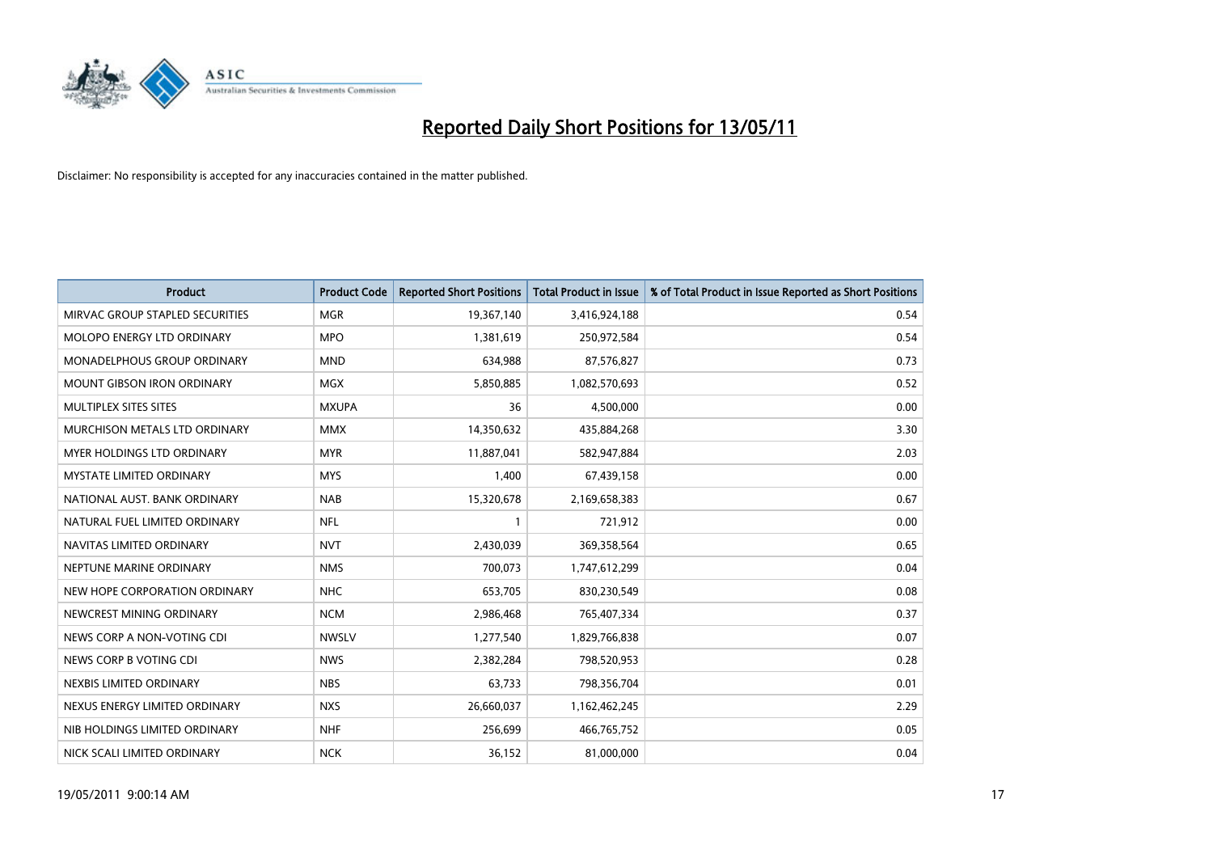

| <b>Product</b>                     | <b>Product Code</b> | <b>Reported Short Positions</b> | <b>Total Product in Issue</b> | % of Total Product in Issue Reported as Short Positions |
|------------------------------------|---------------------|---------------------------------|-------------------------------|---------------------------------------------------------|
| MIRVAC GROUP STAPLED SECURITIES    | <b>MGR</b>          | 19,367,140                      | 3,416,924,188                 | 0.54                                                    |
| MOLOPO ENERGY LTD ORDINARY         | <b>MPO</b>          | 1,381,619                       | 250,972,584                   | 0.54                                                    |
| <b>MONADELPHOUS GROUP ORDINARY</b> | <b>MND</b>          | 634.988                         | 87,576,827                    | 0.73                                                    |
| <b>MOUNT GIBSON IRON ORDINARY</b>  | <b>MGX</b>          | 5,850,885                       | 1,082,570,693                 | 0.52                                                    |
| MULTIPLEX SITES SITES              | <b>MXUPA</b>        | 36                              | 4,500,000                     | 0.00                                                    |
| MURCHISON METALS LTD ORDINARY      | <b>MMX</b>          | 14,350,632                      | 435,884,268                   | 3.30                                                    |
| <b>MYER HOLDINGS LTD ORDINARY</b>  | <b>MYR</b>          | 11,887,041                      | 582,947,884                   | 2.03                                                    |
| <b>MYSTATE LIMITED ORDINARY</b>    | <b>MYS</b>          | 1,400                           | 67,439,158                    | 0.00                                                    |
| NATIONAL AUST. BANK ORDINARY       | <b>NAB</b>          | 15,320,678                      | 2,169,658,383                 | 0.67                                                    |
| NATURAL FUEL LIMITED ORDINARY      | <b>NFL</b>          |                                 | 721,912                       | 0.00                                                    |
| NAVITAS LIMITED ORDINARY           | <b>NVT</b>          | 2,430,039                       | 369,358,564                   | 0.65                                                    |
| NEPTUNE MARINE ORDINARY            | <b>NMS</b>          | 700,073                         | 1,747,612,299                 | 0.04                                                    |
| NEW HOPE CORPORATION ORDINARY      | <b>NHC</b>          | 653,705                         | 830,230,549                   | 0.08                                                    |
| NEWCREST MINING ORDINARY           | <b>NCM</b>          | 2,986,468                       | 765,407,334                   | 0.37                                                    |
| NEWS CORP A NON-VOTING CDI         | <b>NWSLV</b>        | 1,277,540                       | 1,829,766,838                 | 0.07                                                    |
| NEWS CORP B VOTING CDI             | <b>NWS</b>          | 2,382,284                       | 798,520,953                   | 0.28                                                    |
| NEXBIS LIMITED ORDINARY            | <b>NBS</b>          | 63,733                          | 798,356,704                   | 0.01                                                    |
| NEXUS ENERGY LIMITED ORDINARY      | <b>NXS</b>          | 26,660,037                      | 1,162,462,245                 | 2.29                                                    |
| NIB HOLDINGS LIMITED ORDINARY      | <b>NHF</b>          | 256,699                         | 466,765,752                   | 0.05                                                    |
| NICK SCALI LIMITED ORDINARY        | <b>NCK</b>          | 36,152                          | 81,000,000                    | 0.04                                                    |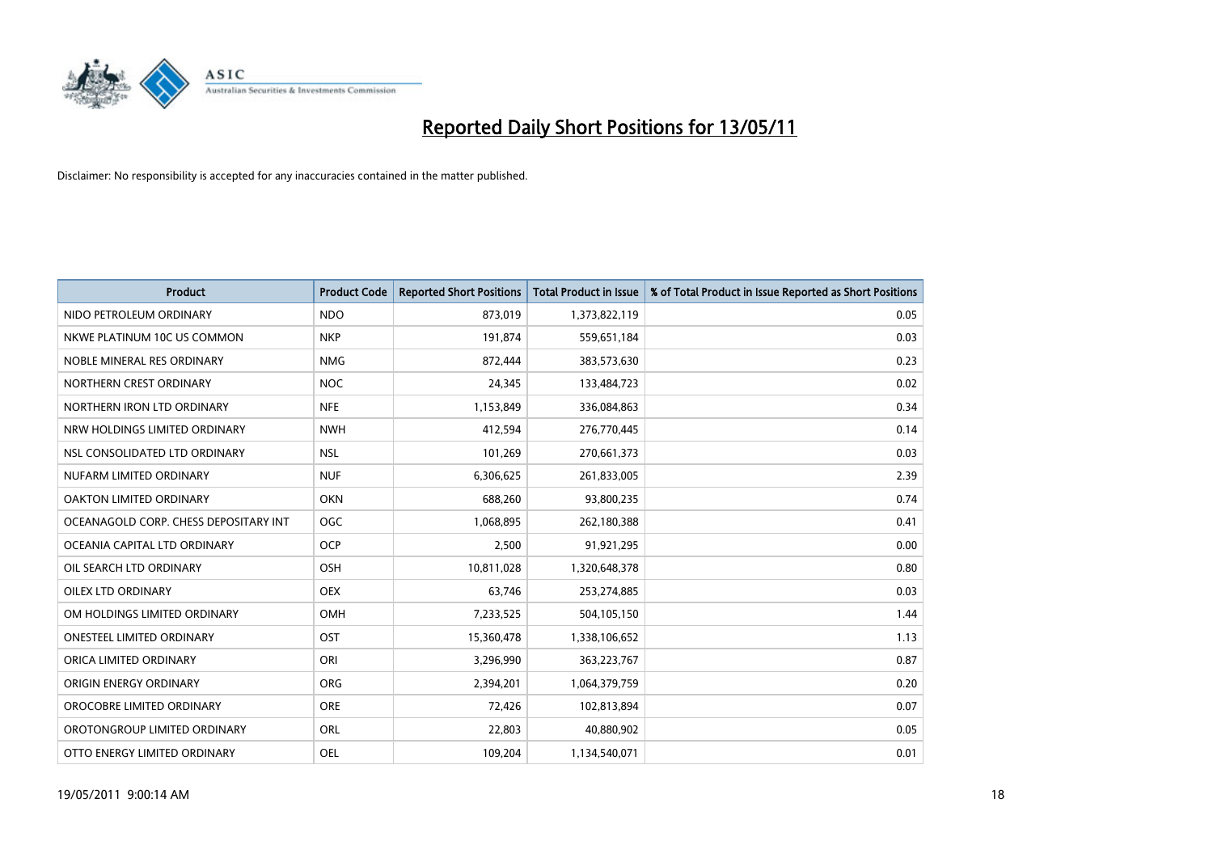

| <b>Product</b>                        | <b>Product Code</b> | <b>Reported Short Positions</b> | <b>Total Product in Issue</b> | % of Total Product in Issue Reported as Short Positions |
|---------------------------------------|---------------------|---------------------------------|-------------------------------|---------------------------------------------------------|
| NIDO PETROLEUM ORDINARY               | <b>NDO</b>          | 873,019                         | 1,373,822,119                 | 0.05                                                    |
| NKWE PLATINUM 10C US COMMON           | <b>NKP</b>          | 191,874                         | 559,651,184                   | 0.03                                                    |
| NOBLE MINERAL RES ORDINARY            | <b>NMG</b>          | 872,444                         | 383,573,630                   | 0.23                                                    |
| NORTHERN CREST ORDINARY               | <b>NOC</b>          | 24,345                          | 133,484,723                   | 0.02                                                    |
| NORTHERN IRON LTD ORDINARY            | <b>NFE</b>          | 1,153,849                       | 336,084,863                   | 0.34                                                    |
| NRW HOLDINGS LIMITED ORDINARY         | <b>NWH</b>          | 412,594                         | 276,770,445                   | 0.14                                                    |
| NSL CONSOLIDATED LTD ORDINARY         | <b>NSL</b>          | 101,269                         | 270,661,373                   | 0.03                                                    |
| NUFARM LIMITED ORDINARY               | <b>NUF</b>          | 6,306,625                       | 261,833,005                   | 2.39                                                    |
| <b>OAKTON LIMITED ORDINARY</b>        | <b>OKN</b>          | 688,260                         | 93,800,235                    | 0.74                                                    |
| OCEANAGOLD CORP. CHESS DEPOSITARY INT | <b>OGC</b>          | 1,068,895                       | 262,180,388                   | 0.41                                                    |
| OCEANIA CAPITAL LTD ORDINARY          | <b>OCP</b>          | 2,500                           | 91,921,295                    | 0.00                                                    |
| OIL SEARCH LTD ORDINARY               | OSH                 | 10,811,028                      | 1,320,648,378                 | 0.80                                                    |
| OILEX LTD ORDINARY                    | <b>OEX</b>          | 63,746                          | 253,274,885                   | 0.03                                                    |
| OM HOLDINGS LIMITED ORDINARY          | <b>OMH</b>          | 7,233,525                       | 504,105,150                   | 1.44                                                    |
| <b>ONESTEEL LIMITED ORDINARY</b>      | OST                 | 15,360,478                      | 1,338,106,652                 | 1.13                                                    |
| ORICA LIMITED ORDINARY                | ORI                 | 3,296,990                       | 363,223,767                   | 0.87                                                    |
| ORIGIN ENERGY ORDINARY                | ORG                 | 2,394,201                       | 1,064,379,759                 | 0.20                                                    |
| OROCOBRE LIMITED ORDINARY             | <b>ORE</b>          | 72,426                          | 102,813,894                   | 0.07                                                    |
| OROTONGROUP LIMITED ORDINARY          | ORL                 | 22,803                          | 40,880,902                    | 0.05                                                    |
| OTTO ENERGY LIMITED ORDINARY          | <b>OEL</b>          | 109,204                         | 1,134,540,071                 | 0.01                                                    |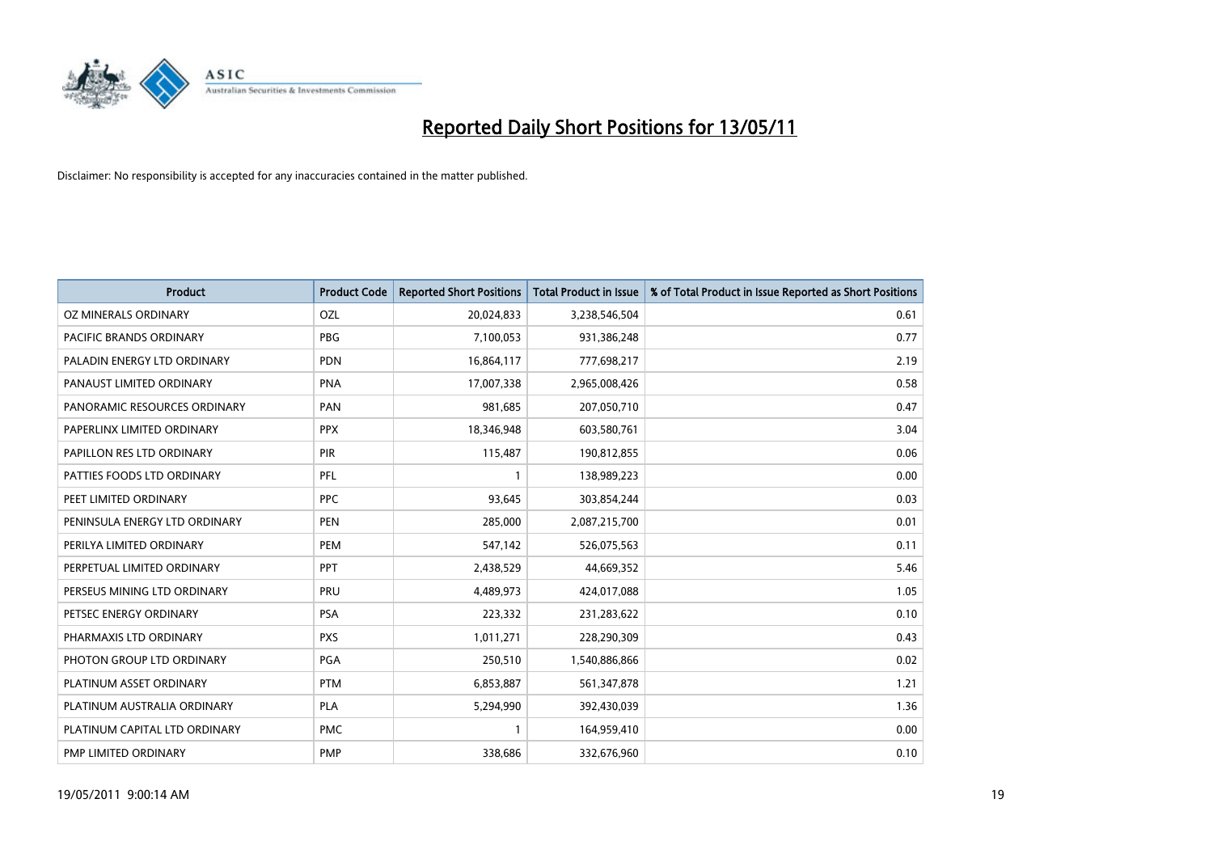

| <b>Product</b>                | <b>Product Code</b> | <b>Reported Short Positions</b> | <b>Total Product in Issue</b> | % of Total Product in Issue Reported as Short Positions |
|-------------------------------|---------------------|---------------------------------|-------------------------------|---------------------------------------------------------|
| <b>OZ MINERALS ORDINARY</b>   | OZL                 | 20,024,833                      | 3,238,546,504                 | 0.61                                                    |
| PACIFIC BRANDS ORDINARY       | <b>PBG</b>          | 7,100,053                       | 931,386,248                   | 0.77                                                    |
| PALADIN ENERGY LTD ORDINARY   | PDN                 | 16,864,117                      | 777,698,217                   | 2.19                                                    |
| PANAUST LIMITED ORDINARY      | <b>PNA</b>          | 17,007,338                      | 2,965,008,426                 | 0.58                                                    |
| PANORAMIC RESOURCES ORDINARY  | PAN                 | 981,685                         | 207,050,710                   | 0.47                                                    |
| PAPERLINX LIMITED ORDINARY    | <b>PPX</b>          | 18,346,948                      | 603,580,761                   | 3.04                                                    |
| PAPILLON RES LTD ORDINARY     | PIR                 | 115,487                         | 190,812,855                   | 0.06                                                    |
| PATTIES FOODS LTD ORDINARY    | PFL                 |                                 | 138,989,223                   | 0.00                                                    |
| PEET LIMITED ORDINARY         | <b>PPC</b>          | 93,645                          | 303,854,244                   | 0.03                                                    |
| PENINSULA ENERGY LTD ORDINARY | <b>PEN</b>          | 285,000                         | 2,087,215,700                 | 0.01                                                    |
| PERILYA LIMITED ORDINARY      | PEM                 | 547,142                         | 526,075,563                   | 0.11                                                    |
| PERPETUAL LIMITED ORDINARY    | <b>PPT</b>          | 2,438,529                       | 44,669,352                    | 5.46                                                    |
| PERSEUS MINING LTD ORDINARY   | PRU                 | 4,489,973                       | 424,017,088                   | 1.05                                                    |
| PETSEC ENERGY ORDINARY        | <b>PSA</b>          | 223,332                         | 231,283,622                   | 0.10                                                    |
| PHARMAXIS LTD ORDINARY        | <b>PXS</b>          | 1,011,271                       | 228,290,309                   | 0.43                                                    |
| PHOTON GROUP LTD ORDINARY     | PGA                 | 250,510                         | 1,540,886,866                 | 0.02                                                    |
| PLATINUM ASSET ORDINARY       | <b>PTM</b>          | 6,853,887                       | 561,347,878                   | 1.21                                                    |
| PLATINUM AUSTRALIA ORDINARY   | PLA                 | 5,294,990                       | 392,430,039                   | 1.36                                                    |
| PLATINUM CAPITAL LTD ORDINARY | <b>PMC</b>          |                                 | 164,959,410                   | 0.00                                                    |
| PMP LIMITED ORDINARY          | <b>PMP</b>          | 338,686                         | 332,676,960                   | 0.10                                                    |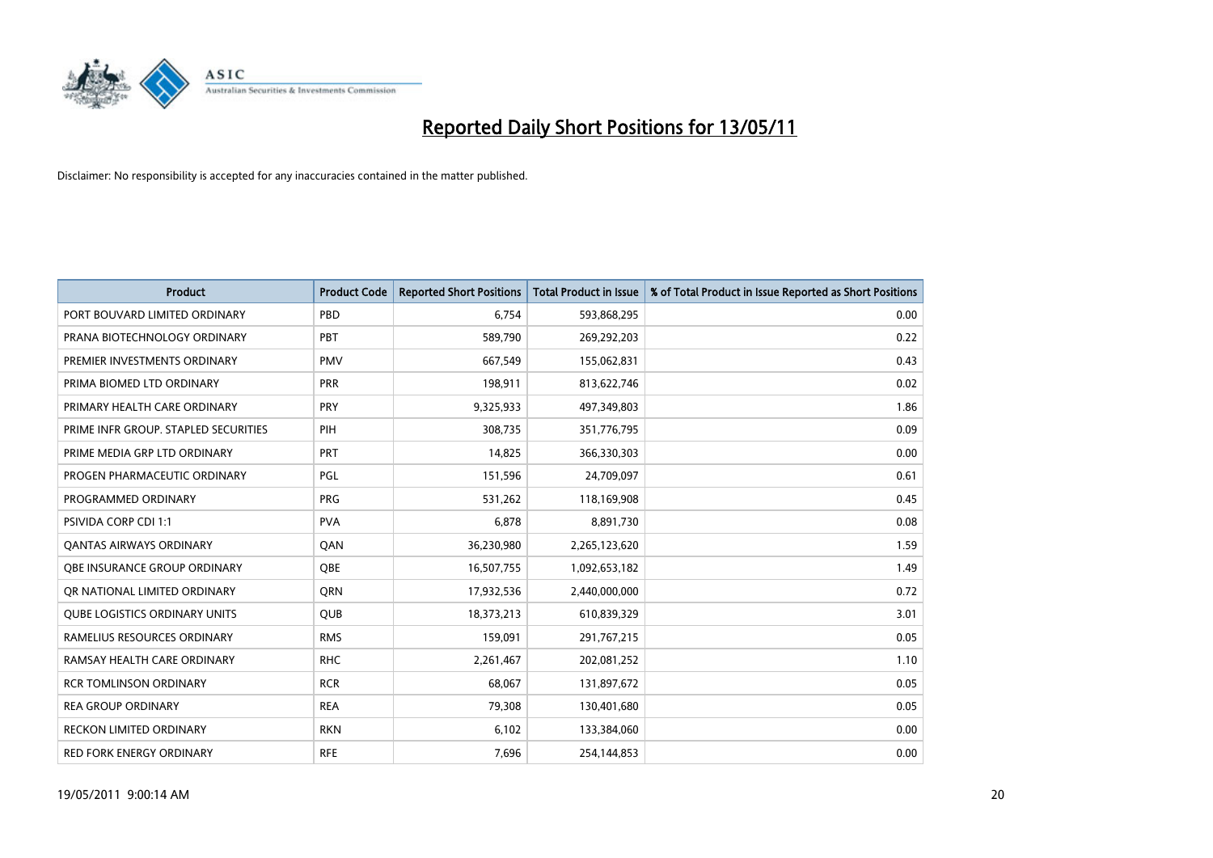

| <b>Product</b>                       | <b>Product Code</b> | <b>Reported Short Positions</b> | <b>Total Product in Issue</b> | % of Total Product in Issue Reported as Short Positions |
|--------------------------------------|---------------------|---------------------------------|-------------------------------|---------------------------------------------------------|
| PORT BOUVARD LIMITED ORDINARY        | PBD                 | 6,754                           | 593,868,295                   | 0.00                                                    |
| PRANA BIOTECHNOLOGY ORDINARY         | PBT                 | 589,790                         | 269,292,203                   | 0.22                                                    |
| PREMIER INVESTMENTS ORDINARY         | <b>PMV</b>          | 667,549                         | 155,062,831                   | 0.43                                                    |
| PRIMA BIOMED LTD ORDINARY            | PRR                 | 198,911                         | 813,622,746                   | 0.02                                                    |
| PRIMARY HEALTH CARE ORDINARY         | PRY                 | 9,325,933                       | 497,349,803                   | 1.86                                                    |
| PRIME INFR GROUP. STAPLED SECURITIES | PIH                 | 308,735                         | 351,776,795                   | 0.09                                                    |
| PRIME MEDIA GRP LTD ORDINARY         | PRT                 | 14,825                          | 366,330,303                   | 0.00                                                    |
| PROGEN PHARMACEUTIC ORDINARY         | PGL                 | 151,596                         | 24,709,097                    | 0.61                                                    |
| PROGRAMMED ORDINARY                  | <b>PRG</b>          | 531,262                         | 118,169,908                   | 0.45                                                    |
| PSIVIDA CORP CDI 1:1                 | <b>PVA</b>          | 6,878                           | 8,891,730                     | 0.08                                                    |
| <b>QANTAS AIRWAYS ORDINARY</b>       | QAN                 | 36,230,980                      | 2,265,123,620                 | 1.59                                                    |
| OBE INSURANCE GROUP ORDINARY         | OBE                 | 16,507,755                      | 1,092,653,182                 | 1.49                                                    |
| OR NATIONAL LIMITED ORDINARY         | <b>ORN</b>          | 17,932,536                      | 2,440,000,000                 | 0.72                                                    |
| <b>QUBE LOGISTICS ORDINARY UNITS</b> | QUB                 | 18,373,213                      | 610,839,329                   | 3.01                                                    |
| RAMELIUS RESOURCES ORDINARY          | <b>RMS</b>          | 159,091                         | 291,767,215                   | 0.05                                                    |
| RAMSAY HEALTH CARE ORDINARY          | <b>RHC</b>          | 2,261,467                       | 202,081,252                   | 1.10                                                    |
| <b>RCR TOMLINSON ORDINARY</b>        | <b>RCR</b>          | 68,067                          | 131,897,672                   | 0.05                                                    |
| <b>REA GROUP ORDINARY</b>            | <b>REA</b>          | 79,308                          | 130,401,680                   | 0.05                                                    |
| <b>RECKON LIMITED ORDINARY</b>       | <b>RKN</b>          | 6,102                           | 133,384,060                   | 0.00                                                    |
| <b>RED FORK ENERGY ORDINARY</b>      | <b>RFE</b>          | 7,696                           | 254,144,853                   | 0.00                                                    |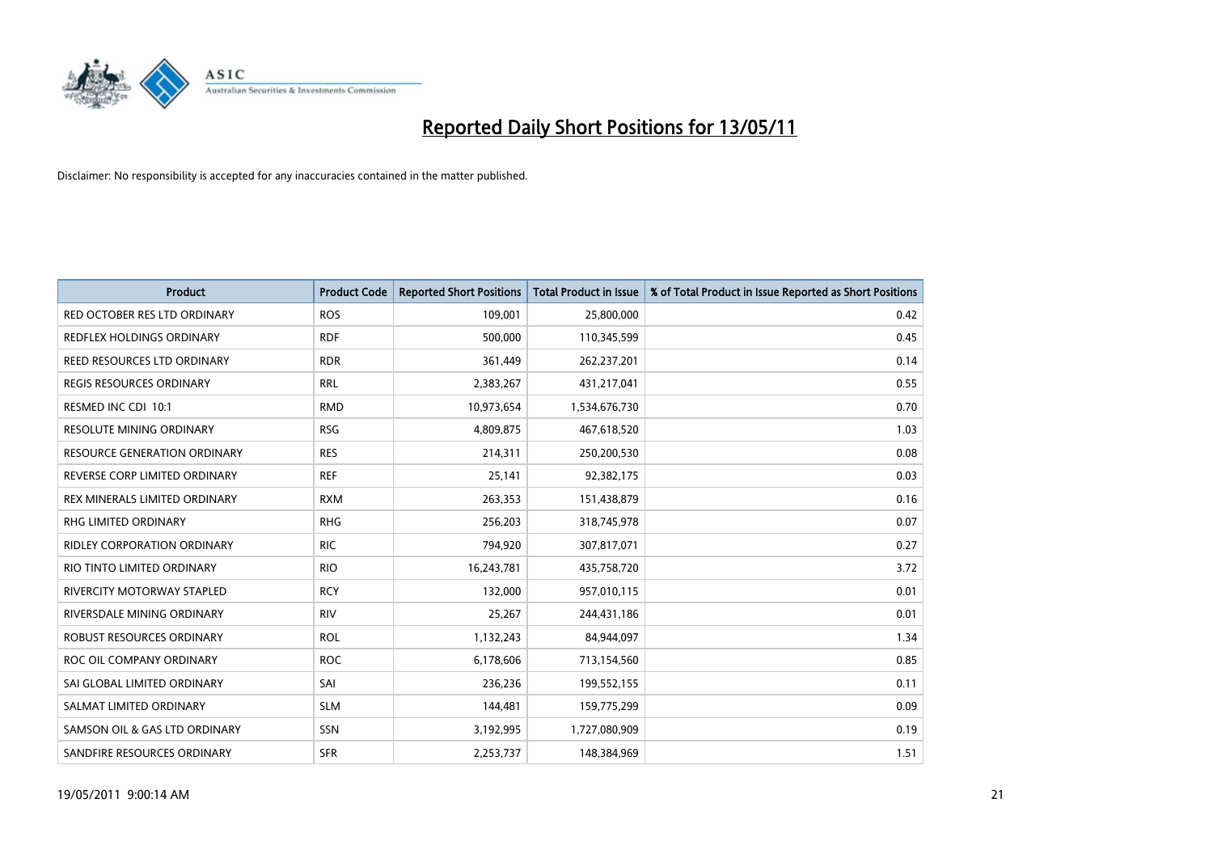

| <b>Product</b>                       | <b>Product Code</b> | <b>Reported Short Positions</b> | <b>Total Product in Issue</b> | % of Total Product in Issue Reported as Short Positions |
|--------------------------------------|---------------------|---------------------------------|-------------------------------|---------------------------------------------------------|
| RED OCTOBER RES LTD ORDINARY         | <b>ROS</b>          | 109,001                         | 25,800,000                    | 0.42                                                    |
| <b>REDFLEX HOLDINGS ORDINARY</b>     | <b>RDF</b>          | 500,000                         | 110,345,599                   | 0.45                                                    |
| <b>REED RESOURCES LTD ORDINARY</b>   | <b>RDR</b>          | 361,449                         | 262,237,201                   | 0.14                                                    |
| REGIS RESOURCES ORDINARY             | <b>RRL</b>          | 2,383,267                       | 431,217,041                   | 0.55                                                    |
| RESMED INC CDI 10:1                  | <b>RMD</b>          | 10,973,654                      | 1,534,676,730                 | 0.70                                                    |
| <b>RESOLUTE MINING ORDINARY</b>      | <b>RSG</b>          | 4,809,875                       | 467,618,520                   | 1.03                                                    |
| <b>RESOURCE GENERATION ORDINARY</b>  | <b>RES</b>          | 214,311                         | 250,200,530                   | 0.08                                                    |
| REVERSE CORP LIMITED ORDINARY        | <b>REF</b>          | 25,141                          | 92,382,175                    | 0.03                                                    |
| <b>REX MINERALS LIMITED ORDINARY</b> | <b>RXM</b>          | 263,353                         | 151,438,879                   | 0.16                                                    |
| <b>RHG LIMITED ORDINARY</b>          | <b>RHG</b>          | 256,203                         | 318,745,978                   | 0.07                                                    |
| <b>RIDLEY CORPORATION ORDINARY</b>   | <b>RIC</b>          | 794,920                         | 307,817,071                   | 0.27                                                    |
| RIO TINTO LIMITED ORDINARY           | <b>RIO</b>          | 16,243,781                      | 435,758,720                   | 3.72                                                    |
| <b>RIVERCITY MOTORWAY STAPLED</b>    | <b>RCY</b>          | 132.000                         | 957,010,115                   | 0.01                                                    |
| RIVERSDALE MINING ORDINARY           | <b>RIV</b>          | 25,267                          | 244,431,186                   | 0.01                                                    |
| ROBUST RESOURCES ORDINARY            | <b>ROL</b>          | 1,132,243                       | 84,944,097                    | 1.34                                                    |
| ROC OIL COMPANY ORDINARY             | <b>ROC</b>          | 6,178,606                       | 713,154,560                   | 0.85                                                    |
| SAI GLOBAL LIMITED ORDINARY          | SAI                 | 236,236                         | 199,552,155                   | 0.11                                                    |
| SALMAT LIMITED ORDINARY              | <b>SLM</b>          | 144,481                         | 159,775,299                   | 0.09                                                    |
| SAMSON OIL & GAS LTD ORDINARY        | <b>SSN</b>          | 3,192,995                       | 1,727,080,909                 | 0.19                                                    |
| SANDFIRE RESOURCES ORDINARY          | <b>SFR</b>          | 2,253,737                       | 148,384,969                   | 1.51                                                    |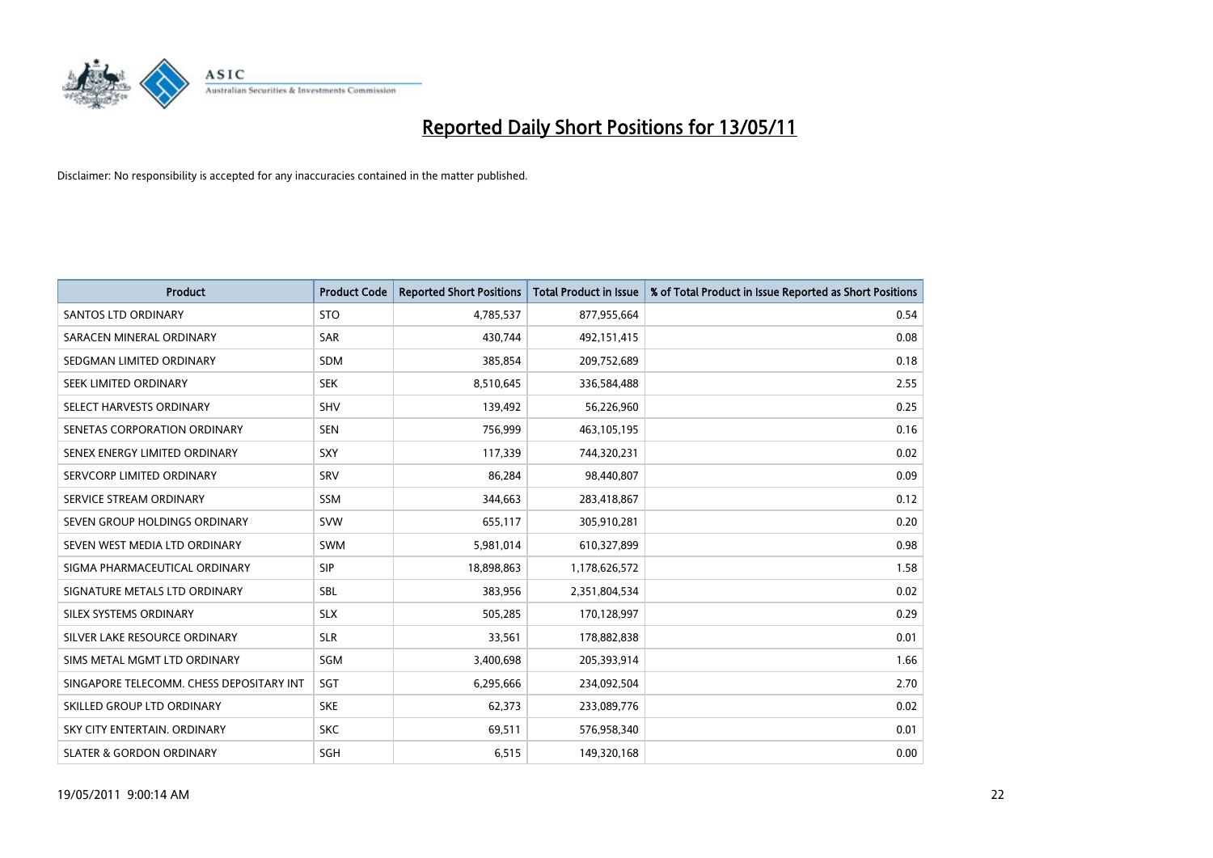

| <b>Product</b>                           | <b>Product Code</b> | <b>Reported Short Positions</b> | Total Product in Issue | % of Total Product in Issue Reported as Short Positions |
|------------------------------------------|---------------------|---------------------------------|------------------------|---------------------------------------------------------|
| <b>SANTOS LTD ORDINARY</b>               | <b>STO</b>          | 4,785,537                       | 877,955,664            | 0.54                                                    |
| SARACEN MINERAL ORDINARY                 | <b>SAR</b>          | 430,744                         | 492,151,415            | 0.08                                                    |
| SEDGMAN LIMITED ORDINARY                 | <b>SDM</b>          | 385,854                         | 209,752,689            | 0.18                                                    |
| SEEK LIMITED ORDINARY                    | <b>SEK</b>          | 8,510,645                       | 336,584,488            | 2.55                                                    |
| SELECT HARVESTS ORDINARY                 | <b>SHV</b>          | 139,492                         | 56,226,960             | 0.25                                                    |
| SENETAS CORPORATION ORDINARY             | <b>SEN</b>          | 756,999                         | 463,105,195            | 0.16                                                    |
| SENEX ENERGY LIMITED ORDINARY            | SXY                 | 117,339                         | 744,320,231            | 0.02                                                    |
| SERVCORP LIMITED ORDINARY                | SRV                 | 86,284                          | 98,440,807             | 0.09                                                    |
| SERVICE STREAM ORDINARY                  | <b>SSM</b>          | 344,663                         | 283,418,867            | 0.12                                                    |
| SEVEN GROUP HOLDINGS ORDINARY            | <b>SVW</b>          | 655,117                         | 305,910,281            | 0.20                                                    |
| SEVEN WEST MEDIA LTD ORDINARY            | <b>SWM</b>          | 5,981,014                       | 610,327,899            | 0.98                                                    |
| SIGMA PHARMACEUTICAL ORDINARY            | SIP                 | 18,898,863                      | 1,178,626,572          | 1.58                                                    |
| SIGNATURE METALS LTD ORDINARY            | <b>SBL</b>          | 383,956                         | 2,351,804,534          | 0.02                                                    |
| SILEX SYSTEMS ORDINARY                   | <b>SLX</b>          | 505,285                         | 170,128,997            | 0.29                                                    |
| SILVER LAKE RESOURCE ORDINARY            | <b>SLR</b>          | 33,561                          | 178,882,838            | 0.01                                                    |
| SIMS METAL MGMT LTD ORDINARY             | SGM                 | 3,400,698                       | 205,393,914            | 1.66                                                    |
| SINGAPORE TELECOMM. CHESS DEPOSITARY INT | SGT                 | 6,295,666                       | 234,092,504            | 2.70                                                    |
| SKILLED GROUP LTD ORDINARY               | <b>SKE</b>          | 62,373                          | 233,089,776            | 0.02                                                    |
| SKY CITY ENTERTAIN, ORDINARY             | <b>SKC</b>          | 69,511                          | 576,958,340            | 0.01                                                    |
| <b>SLATER &amp; GORDON ORDINARY</b>      | SGH                 | 6,515                           | 149,320,168            | 0.00                                                    |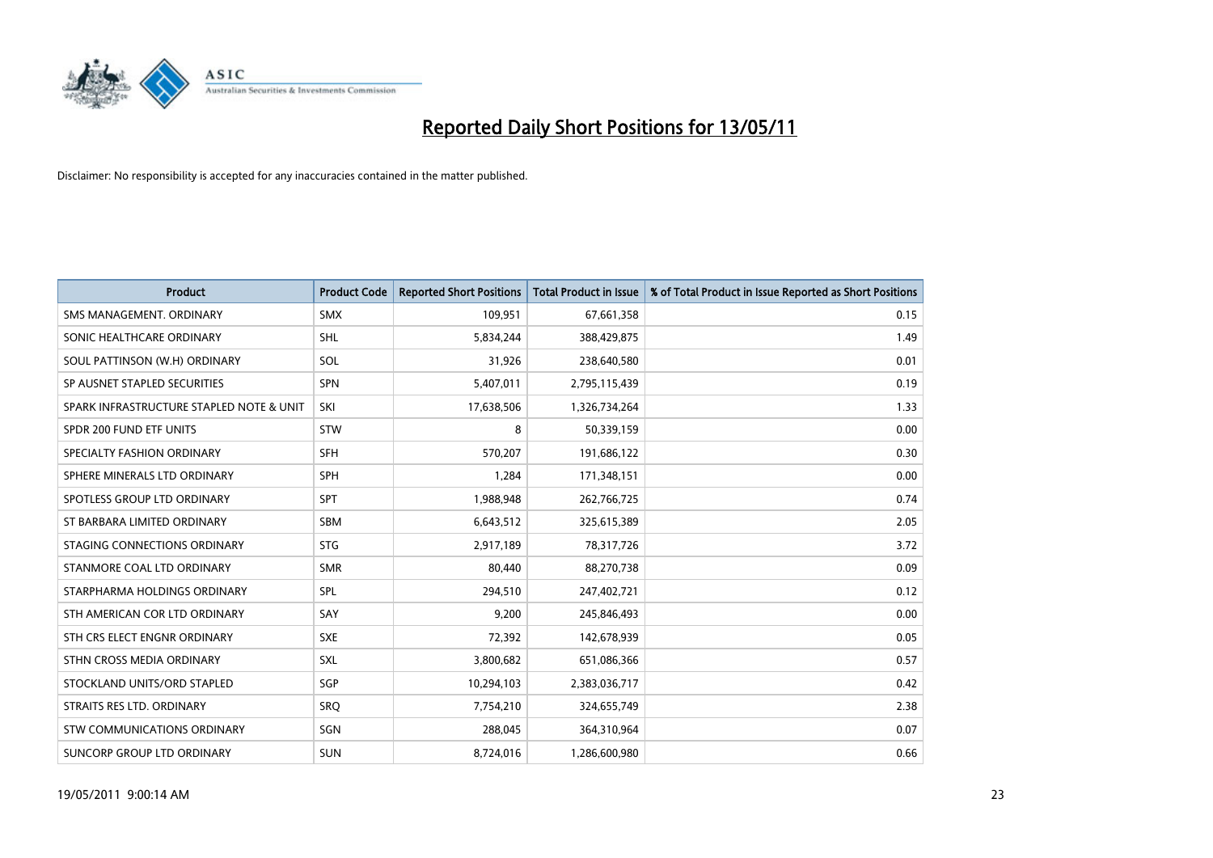

| <b>Product</b>                           | <b>Product Code</b> | <b>Reported Short Positions</b> | <b>Total Product in Issue</b> | % of Total Product in Issue Reported as Short Positions |
|------------------------------------------|---------------------|---------------------------------|-------------------------------|---------------------------------------------------------|
| SMS MANAGEMENT, ORDINARY                 | <b>SMX</b>          | 109,951                         | 67,661,358                    | 0.15                                                    |
| SONIC HEALTHCARE ORDINARY                | <b>SHL</b>          | 5,834,244                       | 388,429,875                   | 1.49                                                    |
| SOUL PATTINSON (W.H) ORDINARY            | SOL                 | 31,926                          | 238,640,580                   | 0.01                                                    |
| SP AUSNET STAPLED SECURITIES             | <b>SPN</b>          | 5,407,011                       | 2,795,115,439                 | 0.19                                                    |
| SPARK INFRASTRUCTURE STAPLED NOTE & UNIT | SKI                 | 17,638,506                      | 1,326,734,264                 | 1.33                                                    |
| SPDR 200 FUND ETF UNITS                  | STW                 | 8                               | 50,339,159                    | 0.00                                                    |
| SPECIALTY FASHION ORDINARY               | <b>SFH</b>          | 570,207                         | 191,686,122                   | 0.30                                                    |
| SPHERE MINERALS LTD ORDINARY             | <b>SPH</b>          | 1,284                           | 171,348,151                   | 0.00                                                    |
| SPOTLESS GROUP LTD ORDINARY              | <b>SPT</b>          | 1,988,948                       | 262,766,725                   | 0.74                                                    |
| ST BARBARA LIMITED ORDINARY              | SBM                 | 6,643,512                       | 325,615,389                   | 2.05                                                    |
| STAGING CONNECTIONS ORDINARY             | <b>STG</b>          | 2,917,189                       | 78,317,726                    | 3.72                                                    |
| STANMORE COAL LTD ORDINARY               | <b>SMR</b>          | 80,440                          | 88,270,738                    | 0.09                                                    |
| STARPHARMA HOLDINGS ORDINARY             | SPL                 | 294,510                         | 247,402,721                   | 0.12                                                    |
| STH AMERICAN COR LTD ORDINARY            | SAY                 | 9,200                           | 245,846,493                   | 0.00                                                    |
| STH CRS ELECT ENGNR ORDINARY             | <b>SXE</b>          | 72,392                          | 142,678,939                   | 0.05                                                    |
| STHN CROSS MEDIA ORDINARY                | SXL                 | 3,800,682                       | 651,086,366                   | 0.57                                                    |
| STOCKLAND UNITS/ORD STAPLED              | SGP                 | 10,294,103                      | 2,383,036,717                 | 0.42                                                    |
| STRAITS RES LTD. ORDINARY                | SRQ                 | 7,754,210                       | 324,655,749                   | 2.38                                                    |
| STW COMMUNICATIONS ORDINARY              | SGN                 | 288,045                         | 364,310,964                   | 0.07                                                    |
| SUNCORP GROUP LTD ORDINARY               | <b>SUN</b>          | 8,724,016                       | 1,286,600,980                 | 0.66                                                    |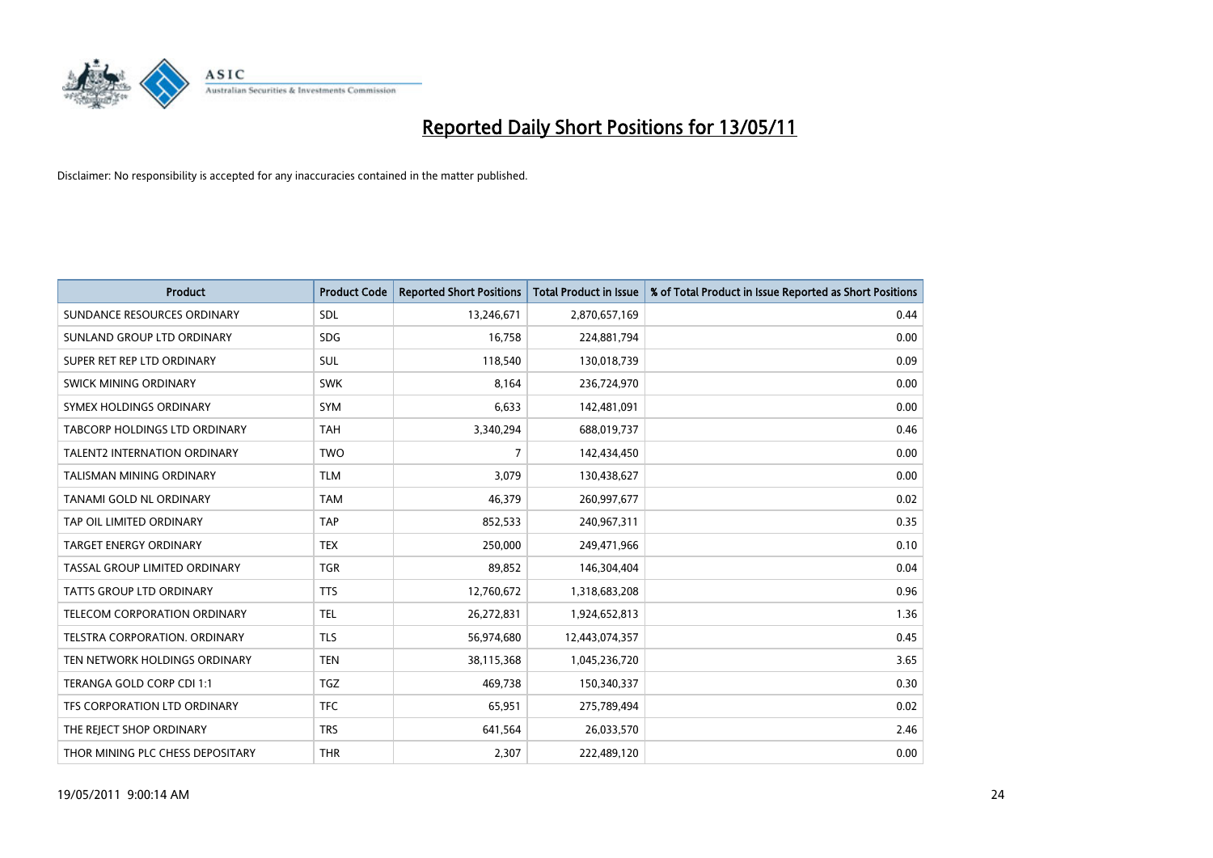

| <b>Product</b>                      | <b>Product Code</b> | <b>Reported Short Positions</b> | <b>Total Product in Issue</b> | % of Total Product in Issue Reported as Short Positions |
|-------------------------------------|---------------------|---------------------------------|-------------------------------|---------------------------------------------------------|
| SUNDANCE RESOURCES ORDINARY         | <b>SDL</b>          | 13,246,671                      | 2,870,657,169                 | 0.44                                                    |
| SUNLAND GROUP LTD ORDINARY          | <b>SDG</b>          | 16,758                          | 224,881,794                   | 0.00                                                    |
| SUPER RET REP LTD ORDINARY          | <b>SUL</b>          | 118,540                         | 130,018,739                   | 0.09                                                    |
| SWICK MINING ORDINARY               | <b>SWK</b>          | 8,164                           | 236,724,970                   | 0.00                                                    |
| SYMEX HOLDINGS ORDINARY             | <b>SYM</b>          | 6,633                           | 142,481,091                   | 0.00                                                    |
| TABCORP HOLDINGS LTD ORDINARY       | <b>TAH</b>          | 3,340,294                       | 688,019,737                   | 0.46                                                    |
| <b>TALENT2 INTERNATION ORDINARY</b> | <b>TWO</b>          | 7                               | 142,434,450                   | 0.00                                                    |
| TALISMAN MINING ORDINARY            | <b>TLM</b>          | 3,079                           | 130,438,627                   | 0.00                                                    |
| TANAMI GOLD NL ORDINARY             | <b>TAM</b>          | 46,379                          | 260,997,677                   | 0.02                                                    |
| TAP OIL LIMITED ORDINARY            | <b>TAP</b>          | 852,533                         | 240,967,311                   | 0.35                                                    |
| <b>TARGET ENERGY ORDINARY</b>       | <b>TEX</b>          | 250,000                         | 249,471,966                   | 0.10                                                    |
| TASSAL GROUP LIMITED ORDINARY       | <b>TGR</b>          | 89,852                          | 146,304,404                   | 0.04                                                    |
| <b>TATTS GROUP LTD ORDINARY</b>     | <b>TTS</b>          | 12,760,672                      | 1,318,683,208                 | 0.96                                                    |
| <b>TELECOM CORPORATION ORDINARY</b> | <b>TEL</b>          | 26,272,831                      | 1,924,652,813                 | 1.36                                                    |
| TELSTRA CORPORATION, ORDINARY       | <b>TLS</b>          | 56,974,680                      | 12,443,074,357                | 0.45                                                    |
| TEN NETWORK HOLDINGS ORDINARY       | <b>TEN</b>          | 38,115,368                      | 1,045,236,720                 | 3.65                                                    |
| TERANGA GOLD CORP CDI 1:1           | <b>TGZ</b>          | 469,738                         | 150,340,337                   | 0.30                                                    |
| TFS CORPORATION LTD ORDINARY        | <b>TFC</b>          | 65,951                          | 275,789,494                   | 0.02                                                    |
| THE REJECT SHOP ORDINARY            | <b>TRS</b>          | 641,564                         | 26,033,570                    | 2.46                                                    |
| THOR MINING PLC CHESS DEPOSITARY    | <b>THR</b>          | 2,307                           | 222,489,120                   | 0.00                                                    |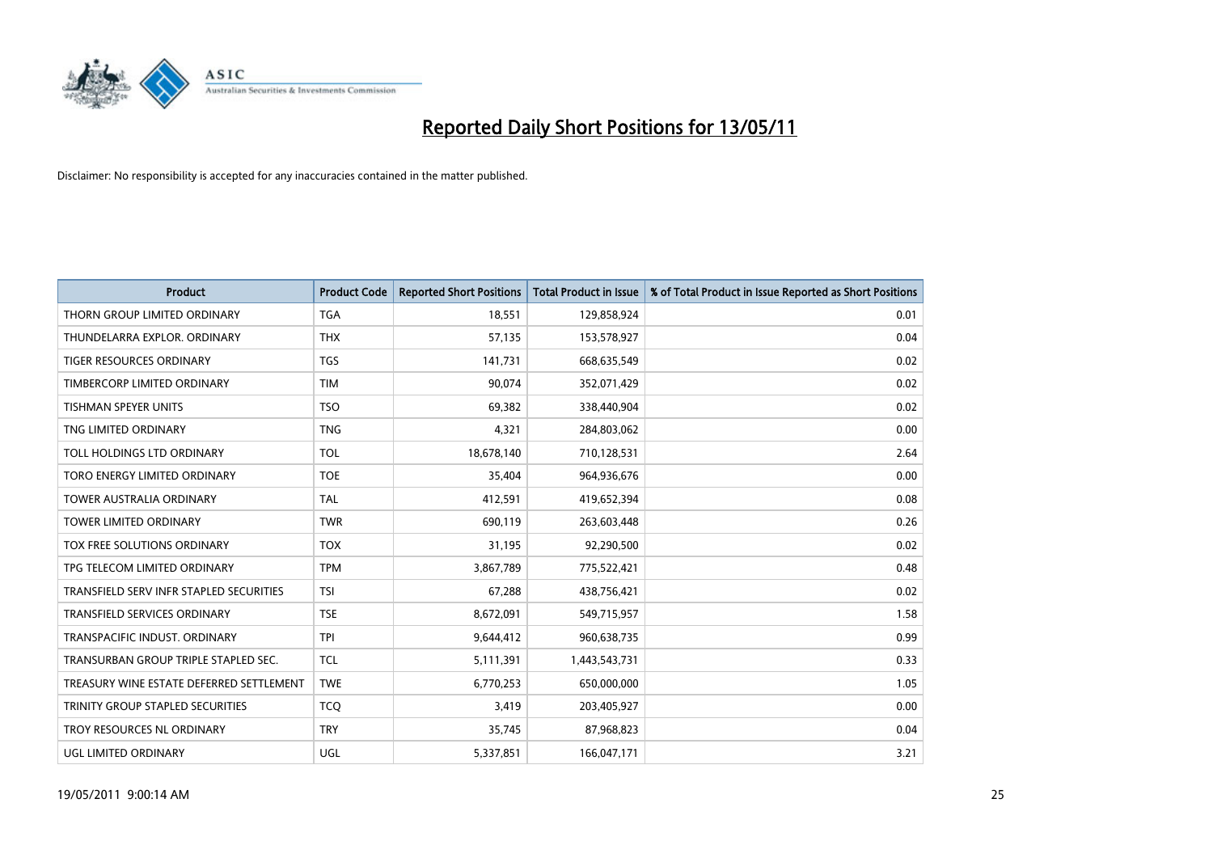

| <b>Product</b>                           | <b>Product Code</b> | <b>Reported Short Positions</b> | <b>Total Product in Issue</b> | % of Total Product in Issue Reported as Short Positions |
|------------------------------------------|---------------------|---------------------------------|-------------------------------|---------------------------------------------------------|
| THORN GROUP LIMITED ORDINARY             | <b>TGA</b>          | 18,551                          | 129,858,924                   | 0.01                                                    |
| THUNDELARRA EXPLOR. ORDINARY             | <b>THX</b>          | 57,135                          | 153,578,927                   | 0.04                                                    |
| <b>TIGER RESOURCES ORDINARY</b>          | <b>TGS</b>          | 141,731                         | 668,635,549                   | 0.02                                                    |
| TIMBERCORP LIMITED ORDINARY              | <b>TIM</b>          | 90,074                          | 352,071,429                   | 0.02                                                    |
| <b>TISHMAN SPEYER UNITS</b>              | <b>TSO</b>          | 69,382                          | 338,440,904                   | 0.02                                                    |
| TNG LIMITED ORDINARY                     | <b>TNG</b>          | 4,321                           | 284,803,062                   | 0.00                                                    |
| TOLL HOLDINGS LTD ORDINARY               | <b>TOL</b>          | 18,678,140                      | 710,128,531                   | 2.64                                                    |
| TORO ENERGY LIMITED ORDINARY             | <b>TOE</b>          | 35,404                          | 964,936,676                   | 0.00                                                    |
| <b>TOWER AUSTRALIA ORDINARY</b>          | <b>TAL</b>          | 412,591                         | 419,652,394                   | 0.08                                                    |
| <b>TOWER LIMITED ORDINARY</b>            | <b>TWR</b>          | 690,119                         | 263,603,448                   | 0.26                                                    |
| TOX FREE SOLUTIONS ORDINARY              | <b>TOX</b>          | 31,195                          | 92,290,500                    | 0.02                                                    |
| TPG TELECOM LIMITED ORDINARY             | <b>TPM</b>          | 3,867,789                       | 775,522,421                   | 0.48                                                    |
| TRANSFIELD SERV INFR STAPLED SECURITIES  | <b>TSI</b>          | 67,288                          | 438,756,421                   | 0.02                                                    |
| <b>TRANSFIELD SERVICES ORDINARY</b>      | <b>TSE</b>          | 8,672,091                       | 549,715,957                   | 1.58                                                    |
| TRANSPACIFIC INDUST, ORDINARY            | <b>TPI</b>          | 9,644,412                       | 960,638,735                   | 0.99                                                    |
| TRANSURBAN GROUP TRIPLE STAPLED SEC.     | <b>TCL</b>          | 5,111,391                       | 1,443,543,731                 | 0.33                                                    |
| TREASURY WINE ESTATE DEFERRED SETTLEMENT | <b>TWE</b>          | 6,770,253                       | 650,000,000                   | 1.05                                                    |
| TRINITY GROUP STAPLED SECURITIES         | <b>TCQ</b>          | 3,419                           | 203,405,927                   | 0.00                                                    |
| TROY RESOURCES NL ORDINARY               | <b>TRY</b>          | 35,745                          | 87,968,823                    | 0.04                                                    |
| UGL LIMITED ORDINARY                     | UGL                 | 5,337,851                       | 166,047,171                   | 3.21                                                    |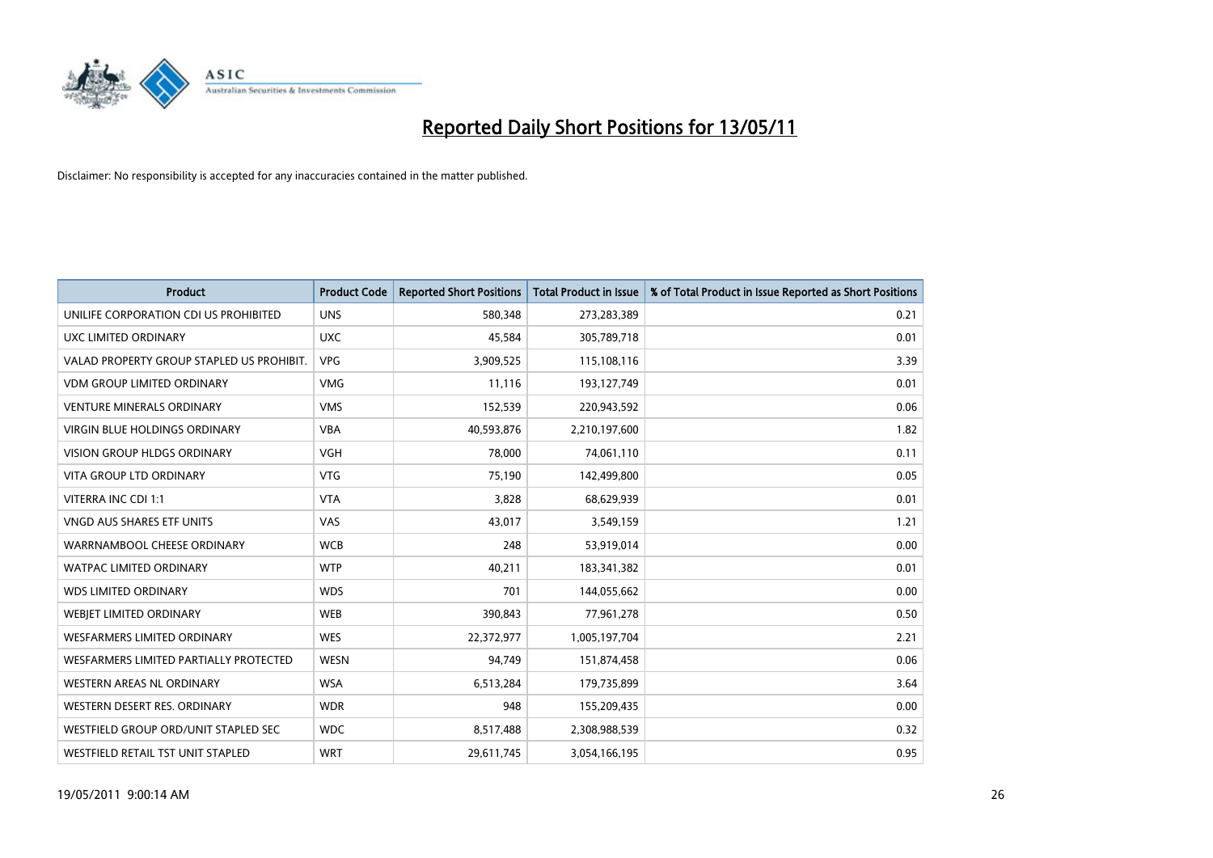

| <b>Product</b>                            | <b>Product Code</b> | <b>Reported Short Positions</b> | Total Product in Issue | % of Total Product in Issue Reported as Short Positions |
|-------------------------------------------|---------------------|---------------------------------|------------------------|---------------------------------------------------------|
| UNILIFE CORPORATION CDI US PROHIBITED     | <b>UNS</b>          | 580,348                         | 273,283,389            | 0.21                                                    |
| UXC LIMITED ORDINARY                      | <b>UXC</b>          | 45,584                          | 305,789,718            | 0.01                                                    |
| VALAD PROPERTY GROUP STAPLED US PROHIBIT. | <b>VPG</b>          | 3,909,525                       | 115,108,116            | 3.39                                                    |
| <b>VDM GROUP LIMITED ORDINARY</b>         | <b>VMG</b>          | 11,116                          | 193,127,749            | 0.01                                                    |
| <b>VENTURE MINERALS ORDINARY</b>          | <b>VMS</b>          | 152,539                         | 220,943,592            | 0.06                                                    |
| <b>VIRGIN BLUE HOLDINGS ORDINARY</b>      | <b>VBA</b>          | 40,593,876                      | 2,210,197,600          | 1.82                                                    |
| <b>VISION GROUP HLDGS ORDINARY</b>        | <b>VGH</b>          | 78,000                          | 74,061,110             | 0.11                                                    |
| VITA GROUP LTD ORDINARY                   | <b>VTG</b>          | 75,190                          | 142,499,800            | 0.05                                                    |
| VITERRA INC CDI 1:1                       | <b>VTA</b>          | 3,828                           | 68,629,939             | 0.01                                                    |
| <b>VNGD AUS SHARES ETF UNITS</b>          | VAS                 | 43,017                          | 3,549,159              | 1.21                                                    |
| WARRNAMBOOL CHEESE ORDINARY               | <b>WCB</b>          | 248                             | 53,919,014             | 0.00                                                    |
| <b>WATPAC LIMITED ORDINARY</b>            | <b>WTP</b>          | 40,211                          | 183,341,382            | 0.01                                                    |
| <b>WDS LIMITED ORDINARY</b>               | <b>WDS</b>          | 701                             | 144,055,662            | 0.00                                                    |
| WEBIET LIMITED ORDINARY                   | <b>WEB</b>          | 390,843                         | 77,961,278             | 0.50                                                    |
| <b>WESFARMERS LIMITED ORDINARY</b>        | <b>WES</b>          | 22,372,977                      | 1,005,197,704          | 2.21                                                    |
| WESFARMERS LIMITED PARTIALLY PROTECTED    | <b>WESN</b>         | 94,749                          | 151,874,458            | 0.06                                                    |
| WESTERN AREAS NL ORDINARY                 | <b>WSA</b>          | 6,513,284                       | 179,735,899            | 3.64                                                    |
| WESTERN DESERT RES. ORDINARY              | <b>WDR</b>          | 948                             | 155,209,435            | 0.00                                                    |
| WESTFIELD GROUP ORD/UNIT STAPLED SEC      | <b>WDC</b>          | 8,517,488                       | 2,308,988,539          | 0.32                                                    |
| WESTFIELD RETAIL TST UNIT STAPLED         | <b>WRT</b>          | 29,611,745                      | 3,054,166,195          | 0.95                                                    |